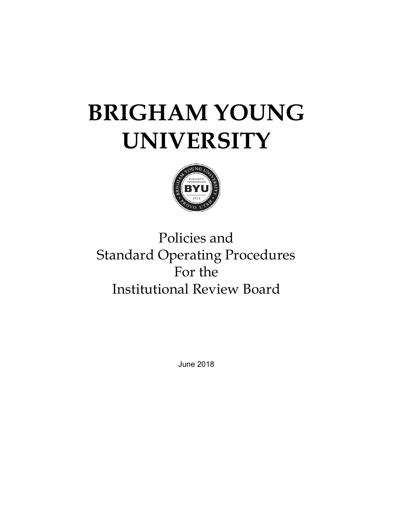# **BRIGHAM YOUNG UNIVERSITY**



# Policies and Standard Operating Procedures For the Institutional Review Board

June 2018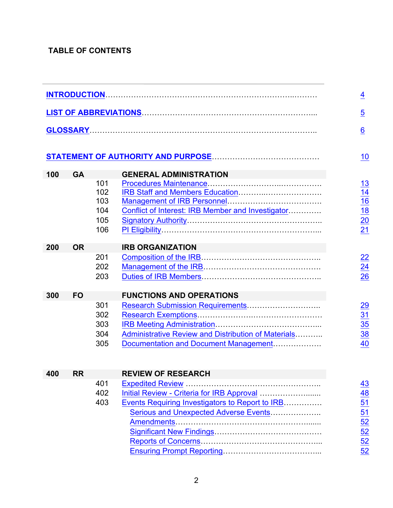# **TABLE OF CONTENTS**

|     |           |     | LIST OF ABBREVIATIONS <b>CONSERVANT ABBREVIATIONS</b> |
|-----|-----------|-----|-------------------------------------------------------|
|     |           |     |                                                       |
|     |           |     |                                                       |
|     |           |     |                                                       |
|     |           |     |                                                       |
|     |           |     |                                                       |
| 100 | <b>GA</b> |     | <b>GENERAL ADMINISTRATION</b>                         |
|     |           | 101 |                                                       |
|     |           | 102 |                                                       |
|     |           | 103 |                                                       |
|     |           | 104 | Conflict of Interest: IRB Member and Investigator     |
|     |           | 105 |                                                       |
|     |           | 106 |                                                       |
| 200 | <b>OR</b> |     | <b>IRB ORGANIZATION</b>                               |
|     |           | 201 |                                                       |
|     |           | 202 |                                                       |
|     |           | 203 |                                                       |
|     |           |     |                                                       |
| 300 | <b>FO</b> |     | <b>FUNCTIONS AND OPERATIONS</b>                       |
|     |           | 301 |                                                       |
|     |           | 302 |                                                       |
|     |           | 303 |                                                       |
|     |           | 304 | Administrative Review and Distribution of Materials   |
|     |           | 305 | Documentation and Document Management                 |
|     |           |     |                                                       |
|     |           |     |                                                       |
| 400 | <b>RR</b> |     | <b>REVIEW OF RESEARCH</b>                             |
|     |           | 401 |                                                       |
|     |           | 402 |                                                       |
|     |           | 403 | Events Requiring Investigators to Report to IRB       |
|     |           |     | Serious and Unexpected Adverse Events                 |
|     |           |     | Amendments                                            |
|     |           |     |                                                       |
|     |           |     |                                                       |
|     |           |     |                                                       |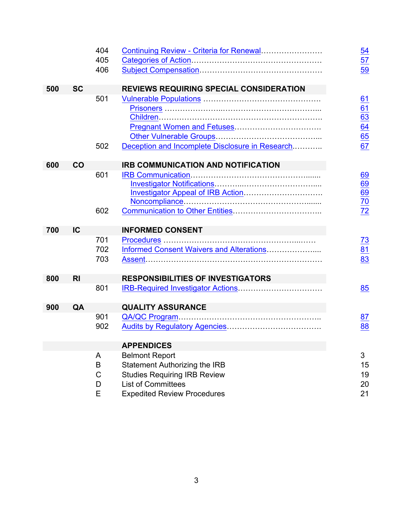|     |                | 404    |                                                 | 54                    |
|-----|----------------|--------|-------------------------------------------------|-----------------------|
|     |                | 405    |                                                 | 57                    |
|     |                | 406    |                                                 | 59                    |
|     |                |        |                                                 |                       |
| 500 | <b>SC</b>      |        | <b>REVIEWS REQUIRING SPECIAL CONSIDERATION</b>  |                       |
|     |                | 501    |                                                 | 61                    |
|     |                |        |                                                 | 61<br>$\overline{63}$ |
|     |                |        |                                                 | 64                    |
|     |                |        |                                                 | 65                    |
|     |                | 502    | Deception and Incomplete Disclosure in Research | 67                    |
|     |                |        |                                                 |                       |
| 600 | CO             |        | <b>IRB COMMUNICATION AND NOTIFICATION</b>       |                       |
|     |                | 601    |                                                 | 69                    |
|     |                |        |                                                 | 69                    |
|     |                |        |                                                 | 69                    |
|     |                |        |                                                 | 70                    |
|     |                | 602    |                                                 | 72                    |
| 700 | IC             |        | <b>INFORMED CONSENT</b>                         |                       |
|     |                | 701    |                                                 | 73                    |
|     |                | 702    | Informed Consent Waivers and Alterations        | 81                    |
|     |                | 703    |                                                 | 83                    |
|     |                |        |                                                 |                       |
| 800 | R <sub>l</sub> |        | <b>RESPONSIBILITIES OF INVESTIGATORS</b>        |                       |
|     |                | 801    |                                                 | 85                    |
| 900 | QA             |        | <b>QUALITY ASSURANCE</b>                        |                       |
|     |                | 901    |                                                 | 87                    |
|     |                | 902    |                                                 | 88                    |
|     |                |        |                                                 |                       |
|     |                |        | <b>APPENDICES</b>                               |                       |
|     |                | A      | <b>Belmont Report</b>                           | 3                     |
|     |                |        | <b>Statement Authorizing the IRB</b>            | 15                    |
|     |                | B      |                                                 |                       |
|     |                | C      | <b>Studies Requiring IRB Review</b>             | 19                    |
|     |                | D<br>Е | <b>List of Committees</b>                       | 20<br>21              |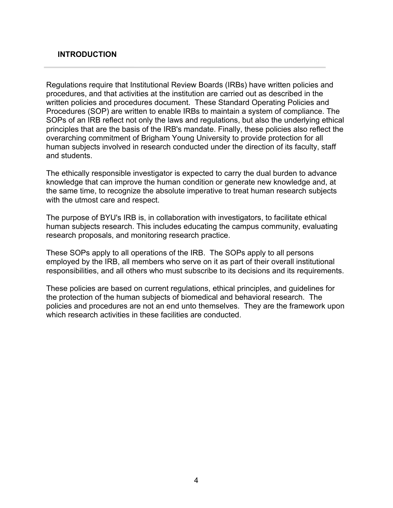#### **INTRODUCTION**

Regulations require that Institutional Review Boards (IRBs) have written policies and procedures, and that activities at the institution are carried out as described in the written policies and procedures document. These Standard Operating Policies and Procedures (SOP) are written to enable IRBs to maintain a system of compliance. The SOPs of an IRB reflect not only the laws and regulations, but also the underlying ethical principles that are the basis of the IRB's mandate. Finally, these policies also reflect the overarching commitment of Brigham Young University to provide protection for all human subjects involved in research conducted under the direction of its faculty, staff and students.

The ethically responsible investigator is expected to carry the dual burden to advance knowledge that can improve the human condition or generate new knowledge and, at the same time, to recognize the absolute imperative to treat human research subjects with the utmost care and respect.

The purpose of BYU's IRB is, in collaboration with investigators, to facilitate ethical human subjects research. This includes educating the campus community, evaluating research proposals, and monitoring research practice.

These SOPs apply to all operations of the IRB. The SOPs apply to all persons employed by the IRB, all members who serve on it as part of their overall institutional responsibilities, and all others who must subscribe to its decisions and its requirements.

These policies are based on current regulations, ethical principles, and guidelines for the protection of the human subjects of biomedical and behavioral research. The policies and procedures are not an end unto themselves. They are the framework upon which research activities in these facilities are conducted.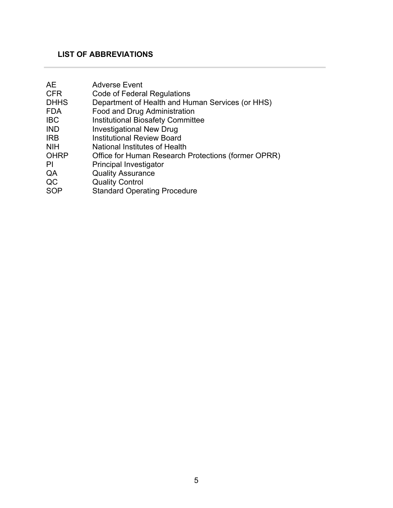# **LIST OF ABBREVIATIONS**

| <b>Adverse Event</b>                                |
|-----------------------------------------------------|
| Code of Federal Regulations                         |
| Department of Health and Human Services (or HHS)    |
| Food and Drug Administration                        |
| <b>Institutional Biosafety Committee</b>            |
| <b>Investigational New Drug</b>                     |
| <b>Institutional Review Board</b>                   |
| National Institutes of Health                       |
| Office for Human Research Protections (former OPRR) |
| <b>Principal Investigator</b>                       |
| <b>Quality Assurance</b>                            |
| <b>Quality Control</b>                              |
| <b>Standard Operating Procedure</b>                 |
|                                                     |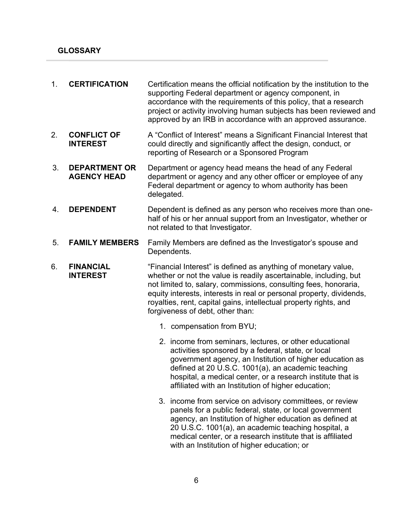| 1. | <b>CERTIFICATION</b>                       | Certification means the official notification by the institution to the<br>supporting Federal department or agency component, in<br>accordance with the requirements of this policy, that a research<br>project or activity involving human subjects has been reviewed and<br>approved by an IRB in accordance with an approved assurance.                                               |  |
|----|--------------------------------------------|------------------------------------------------------------------------------------------------------------------------------------------------------------------------------------------------------------------------------------------------------------------------------------------------------------------------------------------------------------------------------------------|--|
| 2. | <b>CONFLICT OF</b><br><b>INTEREST</b>      | A "Conflict of Interest" means a Significant Financial Interest that<br>could directly and significantly affect the design, conduct, or<br>reporting of Research or a Sponsored Program                                                                                                                                                                                                  |  |
| 3. | <b>DEPARTMENT OR</b><br><b>AGENCY HEAD</b> | Department or agency head means the head of any Federal<br>department or agency and any other officer or employee of any<br>Federal department or agency to whom authority has been<br>delegated.                                                                                                                                                                                        |  |
| 4. | <b>DEPENDENT</b>                           | Dependent is defined as any person who receives more than one-<br>half of his or her annual support from an Investigator, whether or<br>not related to that Investigator.                                                                                                                                                                                                                |  |
| 5. | <b>FAMILY MEMBERS</b>                      | Family Members are defined as the Investigator's spouse and<br>Dependents.                                                                                                                                                                                                                                                                                                               |  |
| 6. | <b>FINANCIAL</b><br><b>INTEREST</b>        | "Financial Interest" is defined as anything of monetary value,<br>whether or not the value is readily ascertainable, including, but<br>not limited to, salary, commissions, consulting fees, honoraria,<br>equity interests, interests in real or personal property, dividends,<br>royalties, rent, capital gains, intellectual property rights, and<br>forgiveness of debt, other than: |  |
|    |                                            | 1. compensation from BYU;                                                                                                                                                                                                                                                                                                                                                                |  |
|    |                                            | 2. income from seminars, lectures, or other educational<br>activities sponsored by a federal, state, or local<br>government agency, an Institution of higher education as<br>defined at 20 U.S.C. 1001(a), an academic teaching<br>hospital, a medical center, or a research institute that is<br>affiliated with an Institution of higher education;                                    |  |
|    |                                            | 3. income from service on advisory committees, or review<br>panels for a public federal, state, or local government<br>agency, an Institution of higher education as defined at<br>20 U.S.C. 1001(a), an academic teaching hospital, a<br>medical center, or a research institute that is affiliated<br>with an Institution of higher education; or                                      |  |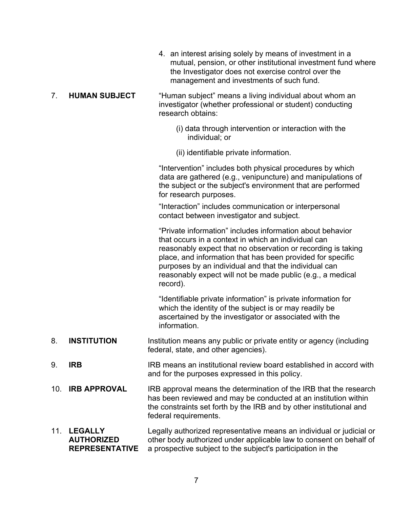| 4. an interest arising solely by means of investment in a     |
|---------------------------------------------------------------|
| mutual, pension, or other institutional investment fund where |
| the Investigator does not exercise control over the           |
| management and investments of such fund.                      |

#### 7. **HUMAN SUBJECT** "Human subject" means a living individual about whom an investigator (whether professional or student) conducting research obtains:

- (i) data through intervention or interaction with the individual; or
- (ii) identifiable private information.

"Intervention" includes both physical procedures by which data are gathered (e.g., venipuncture) and manipulations of the subject or the subject's environment that are performed for research purposes.

"Interaction" includes communication or interpersonal contact between investigator and subject.

"Private information" includes information about behavior that occurs in a context in which an individual can reasonably expect that no observation or recording is taking place, and information that has been provided for specific purposes by an individual and that the individual can reasonably expect will not be made public (e.g., a medical record).

"Identifiable private information" is private information for which the identity of the subject is or may readily be ascertained by the investigator or associated with the information.

- 8. **INSTITUTION** Institution means any public or private entity or agency (including federal, state, and other agencies).
- 9. **IRB** IRB means an institutional review board established in accord with and for the purposes expressed in this policy.
- 10. **IRB APPROVAL** IRB approval means the determination of the IRB that the research has been reviewed and may be conducted at an institution within the constraints set forth by the IRB and by other institutional and federal requirements.
- 11. **LEGALLY AUTHORIZED REPRESENTATIVE** Legally authorized representative means an individual or judicial or other body authorized under applicable law to consent on behalf of a prospective subject to the subject's participation in the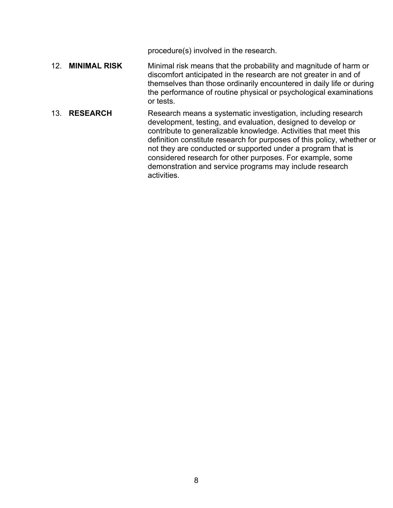procedure(s) involved in the research.

- 12. **MINIMAL RISK** Minimal risk means that the probability and magnitude of harm or discomfort anticipated in the research are not greater in and of themselves than those ordinarily encountered in daily life or during the performance of routine physical or psychological examinations or tests.
- 13. **RESEARCH** Research means a systematic investigation, including research development, testing, and evaluation, designed to develop or contribute to generalizable knowledge. Activities that meet this definition constitute research for purposes of this policy, whether or not they are conducted or supported under a program that is considered research for other purposes. For example, some demonstration and service programs may include research activities.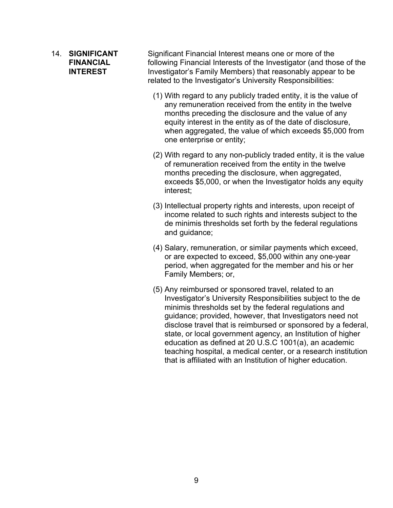#### 14. **SIGNIFICANT FINANCIAL INTEREST**

Significant Financial Interest means one or more of the following Financial Interests of the Investigator (and those of the Investigator's Family Members) that reasonably appear to be related to the Investigator's University Responsibilities:

- (1) With regard to any publicly traded entity, it is the value of any remuneration received from the entity in the twelve months preceding the disclosure and the value of any equity interest in the entity as of the date of disclosure, when aggregated, the value of which exceeds \$5,000 from one enterprise or entity;
- (2) With regard to any non-publicly traded entity, it is the value of remuneration received from the entity in the twelve months preceding the disclosure, when aggregated, exceeds \$5,000, or when the Investigator holds any equity interest;
- (3) Intellectual property rights and interests, upon receipt of income related to such rights and interests subject to the de minimis thresholds set forth by the federal regulations and guidance;
- (4) Salary, remuneration, or similar payments which exceed, or are expected to exceed, \$5,000 within any one-year period, when aggregated for the member and his or her Family Members; or,
- (5) Any reimbursed or sponsored travel, related to an Investigator's University Responsibilities subject to the de minimis thresholds set by the federal regulations and guidance; provided, however, that Investigators need not disclose travel that is reimbursed or sponsored by a federal, state, or local government agency, an Institution of higher education as defined at 20 U.S.C 1001(a), an academic teaching hospital, a medical center, or a research institution that is affiliated with an Institution of higher education.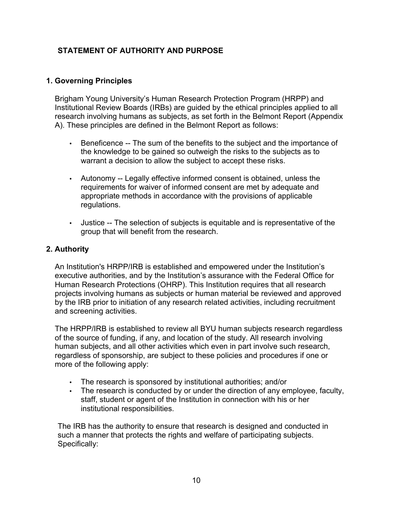# **STATEMENT OF AUTHORITY AND PURPOSE**

#### **1. Governing Principles**

Brigham Young University's Human Research Protection Program (HRPP) and Institutional Review Boards (IRBs) are guided by the ethical principles applied to all research involving humans as subjects, as set forth in the Belmont Report (Appendix A). These principles are defined in the Belmont Report as follows:

- Beneficence -- The sum of the benefits to the subject and the importance of the knowledge to be gained so outweigh the risks to the subjects as to warrant a decision to allow the subject to accept these risks.
- Autonomy -- Legally effective informed consent is obtained, unless the requirements for waiver of informed consent are met by adequate and appropriate methods in accordance with the provisions of applicable regulations.
- Justice -- The selection of subjects is equitable and is representative of the group that will benefit from the research.

#### **2. Authority**

An Institution's HRPP/IRB is established and empowered under the Institution's executive authorities, and by the Institution's assurance with the Federal Office for Human Research Protections (OHRP). This Institution requires that all research projects involving humans as subjects or human material be reviewed and approved by the IRB prior to initiation of any research related activities, including recruitment and screening activities.

The HRPP/IRB is established to review all BYU human subjects research regardless of the source of funding, if any, and location of the study. All research involving human subjects, and all other activities which even in part involve such research, regardless of sponsorship, are subject to these policies and procedures if one or more of the following apply:

- The research is sponsored by institutional authorities; and/or
- The research is conducted by or under the direction of any employee, faculty, staff, student or agent of the Institution in connection with his or her institutional responsibilities.

The IRB has the authority to ensure that research is designed and conducted in such a manner that protects the rights and welfare of participating subjects. Specifically: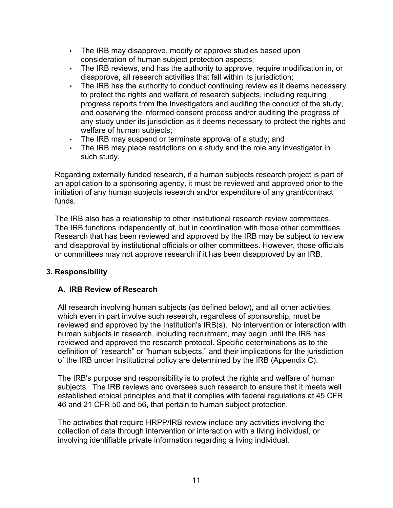- The IRB may disapprove, modify or approve studies based upon consideration of human subject protection aspects;
- The IRB reviews, and has the authority to approve, require modification in, or disapprove, all research activities that fall within its jurisdiction;
- The IRB has the authority to conduct continuing review as it deems necessary to protect the rights and welfare of research subjects, including requiring progress reports from the Investigators and auditing the conduct of the study, and observing the informed consent process and/or auditing the progress of any study under its jurisdiction as it deems necessary to protect the rights and welfare of human subjects;
- The IRB may suspend or terminate approval of a study; and
- The IRB may place restrictions on a study and the role any investigator in such study.

Regarding externally funded research, if a human subjects research project is part of an application to a sponsoring agency, it must be reviewed and approved prior to the initiation of any human subjects research and/or expenditure of any grant/contract funds.

The IRB also has a relationship to other institutional research review committees. The IRB functions independently of, but in coordination with those other committees. Research that has been reviewed and approved by the IRB may be subject to review and disapproval by institutional officials or other committees. However, those officials or committees may not approve research if it has been disapproved by an IRB.

# **3. Responsibility**

# **A. IRB Review of Research**

All research involving human subjects (as defined below), and all other activities, which even in part involve such research, regardless of sponsorship, must be reviewed and approved by the Institution's IRB(s). No intervention or interaction with human subjects in research, including recruitment, may begin until the IRB has reviewed and approved the research protocol. Specific determinations as to the definition of "research" or "human subjects," and their implications for the jurisdiction of the IRB under Institutional policy are determined by the IRB (Appendix C).

The IRB's purpose and responsibility is to protect the rights and welfare of human subjects. The IRB reviews and oversees such research to ensure that it meets well established ethical principles and that it complies with federal regulations at 45 CFR 46 and 21 CFR 50 and 56, that pertain to human subject protection.

The activities that require HRPP/IRB review include any activities involving the collection of data through intervention or interaction with a living individual, or involving identifiable private information regarding a living individual.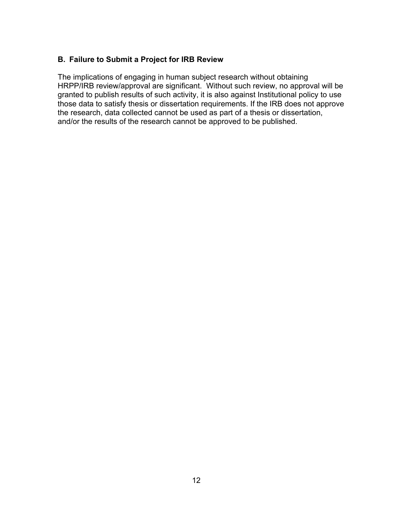#### **B. Failure to Submit a Project for IRB Review**

The implications of engaging in human subject research without obtaining HRPP/IRB review/approval are significant. Without such review, no approval will be granted to publish results of such activity, it is also against Institutional policy to use those data to satisfy thesis or dissertation requirements. If the IRB does not approve the research, data collected cannot be used as part of a thesis or dissertation, and/or the results of the research cannot be approved to be published.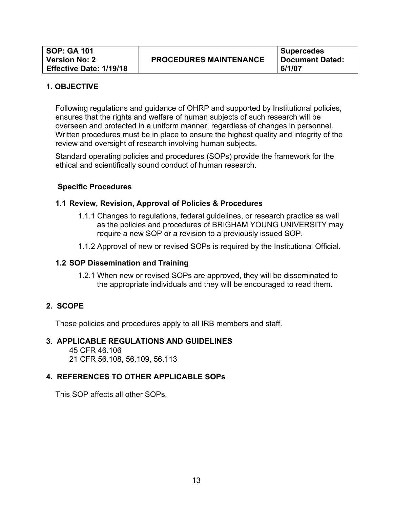Following regulations and guidance of OHRP and supported by Institutional policies, ensures that the rights and welfare of human subjects of such research will be overseen and protected in a uniform manner, regardless of changes in personnel. Written procedures must be in place to ensure the highest quality and integrity of the review and oversight of research involving human subjects.

Standard operating policies and procedures (SOPs) provide the framework for the ethical and scientifically sound conduct of human research.

#### **Specific Procedures**

#### **1.1 Review, Revision, Approval of Policies & Procedures**

- 1.1.1 Changes to regulations, federal guidelines, or research practice as well as the policies and procedures of BRIGHAM YOUNG UNIVERSITY may require a new SOP or a revision to a previously issued SOP.
- 1.1.2 Approval of new or revised SOPs is required by the Institutional Official**.**

#### **1.2 SOP Dissemination and Training**

1.2.1 When new or revised SOPs are approved, they will be disseminated to the appropriate individuals and they will be encouraged to read them.

#### **2. SCOPE**

These policies and procedures apply to all IRB members and staff.

#### **3. APPLICABLE REGULATIONS AND GUIDELINES**

45 CFR 46.106 21 CFR 56.108, 56.109, 56.113

#### **4. REFERENCES TO OTHER APPLICABLE SOPs**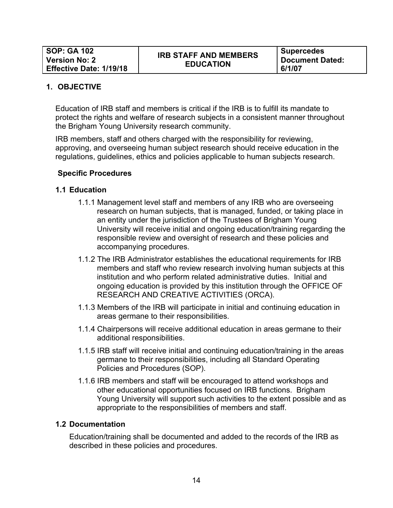**Supercedes Document Dated: 6/1/07**

#### **1. OBJECTIVE**

Education of IRB staff and members is critical if the IRB is to fulfill its mandate to protect the rights and welfare of research subjects in a consistent manner throughout the Brigham Young University research community.

IRB members, staff and others charged with the responsibility for reviewing, approving, and overseeing human subject research should receive education in the regulations, guidelines, ethics and policies applicable to human subjects research.

#### **Specific Procedures**

#### **1.1 Education**

- 1.1.1 Management level staff and members of any IRB who are overseeing research on human subjects, that is managed, funded, or taking place in an entity under the jurisdiction of the Trustees of Brigham Young University will receive initial and ongoing education/training regarding the responsible review and oversight of research and these policies and accompanying procedures.
- 1.1.2 The IRB Administrator establishes the educational requirements for IRB members and staff who review research involving human subjects at this institution and who perform related administrative duties. Initial and ongoing education is provided by this institution through the OFFICE OF RESEARCH AND CREATIVE ACTIVITIES (ORCA).
- 1.1.3 Members of the IRB will participate in initial and continuing education in areas germane to their responsibilities.
- 1.1.4 Chairpersons will receive additional education in areas germane to their additional responsibilities.
- 1.1.5 IRB staff will receive initial and continuing education/training in the areas germane to their responsibilities, including all Standard Operating Policies and Procedures (SOP).
- 1.1.6 IRB members and staff will be encouraged to attend workshops and other educational opportunities focused on IRB functions. Brigham Young University will support such activities to the extent possible and as appropriate to the responsibilities of members and staff.

#### **1.2 Documentation**

Education/training shall be documented and added to the records of the IRB as described in these policies and procedures.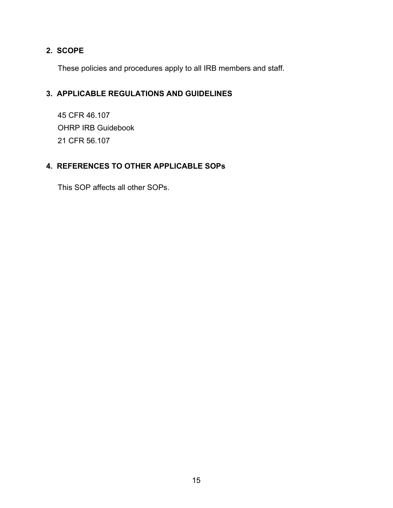# **2. SCOPE**

These policies and procedures apply to all IRB members and staff.

# **3. APPLICABLE REGULATIONS AND GUIDELINES**

45 CFR 46.107 OHRP IRB Guidebook 21 CFR 56.107

# **4. REFERENCES TO OTHER APPLICABLE SOPs**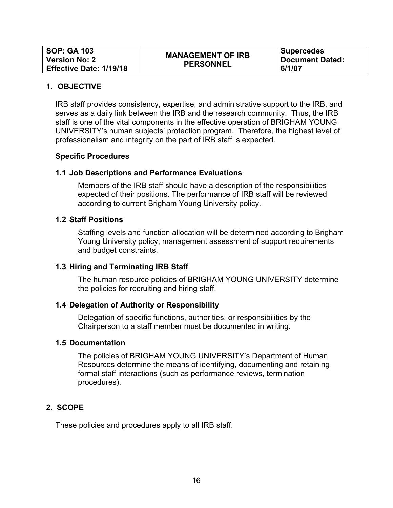| <b>SOP: GA 103</b>             | <b>MANAGEMENT OF IRB</b> | <b>Supercedes</b>      |
|--------------------------------|--------------------------|------------------------|
| <b>Version No: 2</b>           | <b>PERSONNEL</b>         | <b>Document Dated:</b> |
| <b>Effective Date: 1/19/18</b> |                          | 6/1/07                 |

IRB staff provides consistency, expertise, and administrative support to the IRB, and serves as a daily link between the IRB and the research community. Thus, the IRB staff is one of the vital components in the effective operation of BRIGHAM YOUNG UNIVERSITY's human subjects' protection program. Therefore, the highest level of professionalism and integrity on the part of IRB staff is expected.

#### **Specific Procedures**

#### **1.1 Job Descriptions and Performance Evaluations**

Members of the IRB staff should have a description of the responsibilities expected of their positions. The performance of IRB staff will be reviewed according to current Brigham Young University policy.

#### **1.2 Staff Positions**

Staffing levels and function allocation will be determined according to Brigham Young University policy, management assessment of support requirements and budget constraints.

#### **1.3 Hiring and Terminating IRB Staff**

The human resource policies of BRIGHAM YOUNG UNIVERSITY determine the policies for recruiting and hiring staff.

#### **1.4 Delegation of Authority or Responsibility**

Delegation of specific functions, authorities, or responsibilities by the Chairperson to a staff member must be documented in writing.

#### **1.5 Documentation**

The policies of BRIGHAM YOUNG UNIVERSITY's Department of Human Resources determine the means of identifying, documenting and retaining formal staff interactions (such as performance reviews, termination procedures).

#### **2. SCOPE**

These policies and procedures apply to all IRB staff.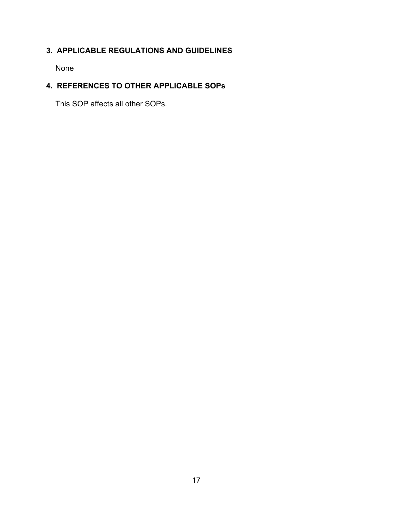# **3. APPLICABLE REGULATIONS AND GUIDELINES**

None

# **4. REFERENCES TO OTHER APPLICABLE SOPs**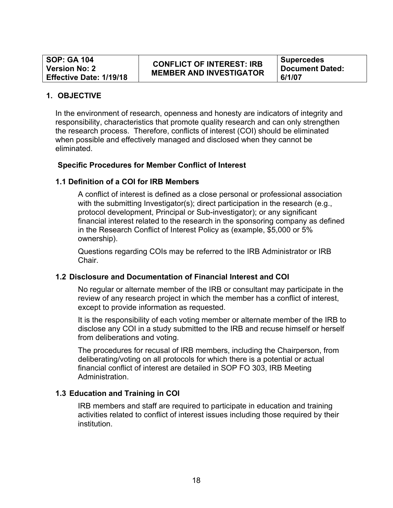# **CONFLICT OF INTEREST: IRB MEMBER AND INVESTIGATOR**

**Supercedes Document Dated: 6/1/07**

#### **1. OBJECTIVE**

In the environment of research, openness and honesty are indicators of integrity and responsibility, characteristics that promote quality research and can only strengthen the research process. Therefore, conflicts of interest (COI) should be eliminated when possible and effectively managed and disclosed when they cannot be eliminated.

#### **Specific Procedures for Member Conflict of Interest**

#### **1.1 Definition of a COI for IRB Members**

A conflict of interest is defined as a close personal or professional association with the submitting Investigator(s); direct participation in the research (e.g., protocol development, Principal or Sub-investigator); or any significant financial interest related to the research in the sponsoring company as defined in the Research Conflict of Interest Policy as (example, \$5,000 or 5% ownership).

Questions regarding COIs may be referred to the IRB Administrator or IRB Chair.

#### **1.2 Disclosure and Documentation of Financial Interest and COI**

No regular or alternate member of the IRB or consultant may participate in the review of any research project in which the member has a conflict of interest, except to provide information as requested.

It is the responsibility of each voting member or alternate member of the IRB to disclose any COI in a study submitted to the IRB and recuse himself or herself from deliberations and voting.

The procedures for recusal of IRB members, including the Chairperson, from deliberating/voting on all protocols for which there is a potential or actual financial conflict of interest are detailed in SOP FO 303, IRB Meeting Administration.

#### **1.3 Education and Training in COI**

IRB members and staff are required to participate in education and training activities related to conflict of interest issues including those required by their institution.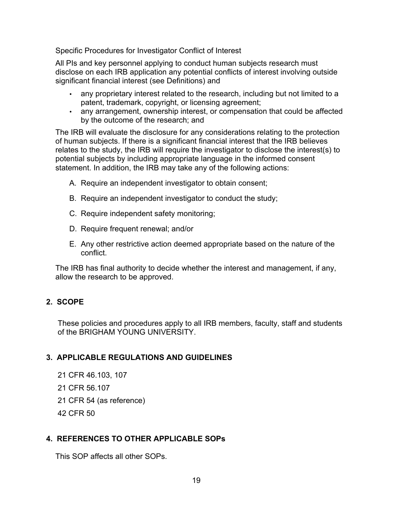Specific Procedures for Investigator Conflict of Interest

All PIs and key personnel applying to conduct human subjects research must disclose on each IRB application any potential conflicts of interest involving outside significant financial interest (see Definitions) and

- any proprietary interest related to the research, including but not limited to a patent, trademark, copyright, or licensing agreement;
- any arrangement, ownership interest, or compensation that could be affected by the outcome of the research; and

The IRB will evaluate the disclosure for any considerations relating to the protection of human subjects. If there is a significant financial interest that the IRB believes relates to the study, the IRB will require the investigator to disclose the interest(s) to potential subjects by including appropriate language in the informed consent statement. In addition, the IRB may take any of the following actions:

- A. Require an independent investigator to obtain consent;
- B. Require an independent investigator to conduct the study;
- C. Require independent safety monitoring;
- D. Require frequent renewal; and/or
- E. Any other restrictive action deemed appropriate based on the nature of the conflict.

The IRB has final authority to decide whether the interest and management, if any, allow the research to be approved.

# **2. SCOPE**

These policies and procedures apply to all IRB members, faculty, staff and students of the BRIGHAM YOUNG UNIVERSITY.

# **3. APPLICABLE REGULATIONS AND GUIDELINES**

- 21 CFR 46.103, 107
- 21 CFR 56.107
- 21 CFR 54 (as reference)
- 42 CFR 50

#### **4. REFERENCES TO OTHER APPLICABLE SOPs**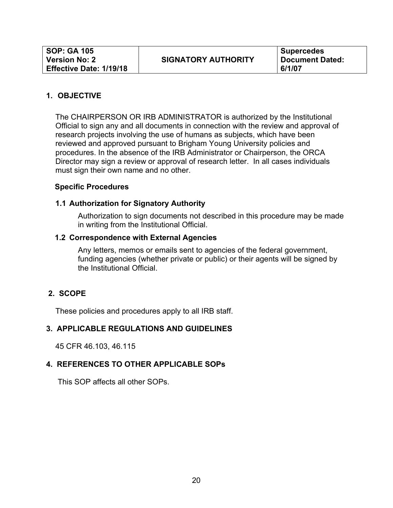The CHAIRPERSON OR IRB ADMINISTRATOR is authorized by the Institutional Official to sign any and all documents in connection with the review and approval of research projects involving the use of humans as subjects, which have been reviewed and approved pursuant to Brigham Young University policies and procedures. In the absence of the IRB Administrator or Chairperson, the ORCA Director may sign a review or approval of research letter. In all cases individuals must sign their own name and no other.

#### **Specific Procedures**

#### **1.1 Authorization for Signatory Authority**

Authorization to sign documents not described in this procedure may be made in writing from the Institutional Official.

#### **1.2 Correspondence with External Agencies**

Any letters, memos or emails sent to agencies of the federal government, funding agencies (whether private or public) or their agents will be signed by the Institutional Official.

#### **2. SCOPE**

These policies and procedures apply to all IRB staff.

#### **3. APPLICABLE REGULATIONS AND GUIDELINES**

45 CFR 46.103, 46.115

#### **4. REFERENCES TO OTHER APPLICABLE SOPs**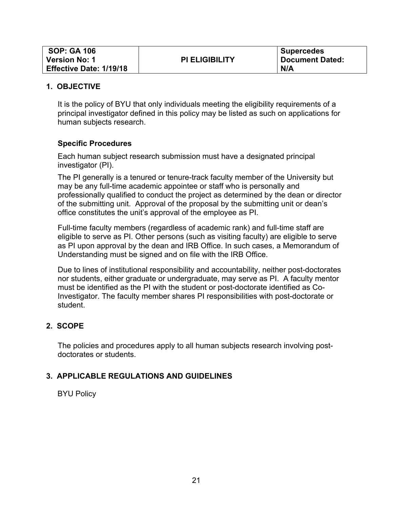| <b>SOP: GA 106</b>             |                       | <b>Supercedes</b>      |
|--------------------------------|-----------------------|------------------------|
| <b>Version No: 1</b>           | <b>PI ELIGIBILITY</b> | <b>Document Dated:</b> |
| <b>Effective Date: 1/19/18</b> |                       | N/A                    |

It is the policy of BYU that only individuals meeting the eligibility requirements of a principal investigator defined in this policy may be listed as such on applications for human subjects research.

#### **Specific Procedures**

Each human subject research submission must have a designated principal investigator (PI).

The PI generally is a tenured or tenure-track faculty member of the University but may be any full-time academic appointee or staff who is personally and professionally qualified to conduct the project as determined by the dean or director of the submitting unit. Approval of the proposal by the submitting unit or dean's office constitutes the unit's approval of the employee as PI.

Full-time faculty members (regardless of academic rank) and full-time staff are eligible to serve as PI. Other persons (such as visiting faculty) are eligible to serve as PI upon approval by the dean and IRB Office. In such cases, a Memorandum of Understanding must be signed and on file with the IRB Office.

Due to lines of institutional responsibility and accountability, neither post-doctorates nor students, either graduate or undergraduate, may serve as PI. A faculty mentor must be identified as the PI with the student or post-doctorate identified as Co-Investigator. The faculty member shares PI responsibilities with post-doctorate or student.

#### **2. SCOPE**

The policies and procedures apply to all human subjects research involving postdoctorates or students.

#### **3. APPLICABLE REGULATIONS AND GUIDELINES**

BYU Policy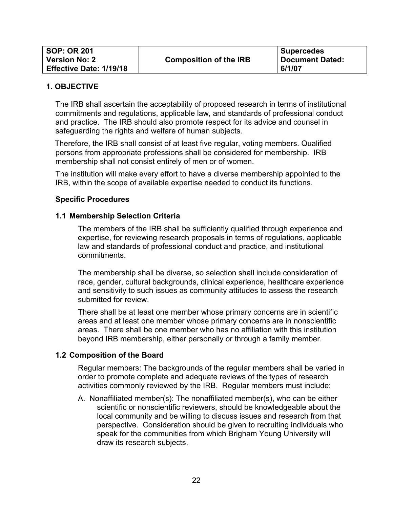| <b>SOP: OR 201</b>             |                               | <b>Supercedes</b> |
|--------------------------------|-------------------------------|-------------------|
| <b>Version No: 2</b>           | <b>Composition of the IRB</b> | Document Dated:   |
| <b>Effective Date: 1/19/18</b> |                               | 6/1/07            |

The IRB shall ascertain the acceptability of proposed research in terms of institutional commitments and regulations, applicable law, and standards of professional conduct and practice. The IRB should also promote respect for its advice and counsel in safeguarding the rights and welfare of human subjects.

Therefore, the IRB shall consist of at least five regular, voting members. Qualified persons from appropriate professions shall be considered for membership. IRB membership shall not consist entirely of men or of women.

The institution will make every effort to have a diverse membership appointed to the IRB, within the scope of available expertise needed to conduct its functions.

#### **Specific Procedures**

#### **1.1 Membership Selection Criteria**

The members of the IRB shall be sufficiently qualified through experience and expertise, for reviewing research proposals in terms of regulations, applicable law and standards of professional conduct and practice, and institutional commitments.

The membership shall be diverse, so selection shall include consideration of race, gender, cultural backgrounds, clinical experience, healthcare experience and sensitivity to such issues as community attitudes to assess the research submitted for review.

There shall be at least one member whose primary concerns are in scientific areas and at least one member whose primary concerns are in nonscientific areas. There shall be one member who has no affiliation with this institution beyond IRB membership, either personally or through a family member.

#### **1.2 Composition of the Board**

Regular members: The backgrounds of the regular members shall be varied in order to promote complete and adequate reviews of the types of research activities commonly reviewed by the IRB. Regular members must include:

A. Nonaffiliated member(s): The nonaffiliated member(s), who can be either scientific or nonscientific reviewers, should be knowledgeable about the local community and be willing to discuss issues and research from that perspective. Consideration should be given to recruiting individuals who speak for the communities from which Brigham Young University will draw its research subjects.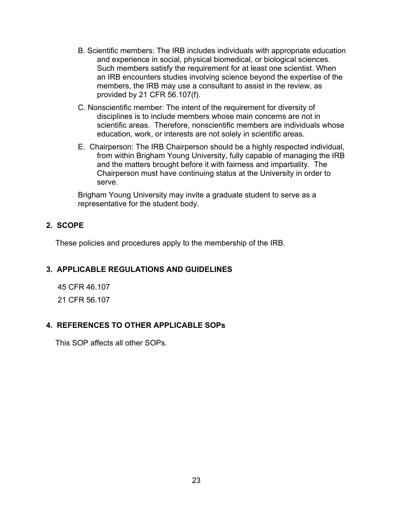- B. Scientific members: The IRB includes individuals with appropriate education and experience in social, physical biomedical, or biological sciences. Such members satisfy the requirement for at least one scientist. When an IRB encounters studies involving science beyond the expertise of the members, the IRB may use a consultant to assist in the review, as provided by 21 CFR 56.107(f).
- C. Nonscientific member: The intent of the requirement for diversity of disciplines is to include members whose main concerns are not in scientific areas. Therefore, nonscientific members are individuals whose education, work, or interests are not solely in scientific areas.
- E. Chairperson: The IRB Chairperson should be a highly respected individual, from within Brigham Young University, fully capable of managing the IRB and the matters brought before it with fairness and impartiality. The Chairperson must have continuing status at the University in order to serve.

Brigham Young University may invite a graduate student to serve as a representative for the student body.

#### **2. SCOPE**

These policies and procedures apply to the membership of the IRB.

#### **3. APPLICABLE REGULATIONS AND GUIDELINES**

45 CFR 46.107 21 CFR 56.107

#### **4. REFERENCES TO OTHER APPLICABLE SOPs**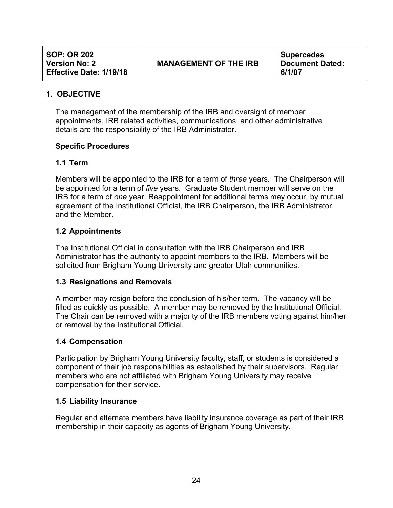The management of the membership of the IRB and oversight of member appointments, IRB related activities, communications, and other administrative details are the responsibility of the IRB Administrator.

#### **Specific Procedures**

#### **1.1 Term**

Members will be appointed to the IRB for a term of *three* years. The Chairperson will be appointed for a term of *five* years. Graduate Student member will serve on the IRB for a term of *one* year. Reappointment for additional terms may occur, by mutual agreement of the Institutional Official, the IRB Chairperson, the IRB Administrator, and the Member.

#### **1.2 Appointments**

The Institutional Official in consultation with the IRB Chairperson and IRB Administrator has the authority to appoint members to the IRB. Members will be solicited from Brigham Young University and greater Utah communities.

#### **1.3 Resignations and Removals**

A member may resign before the conclusion of his/her term. The vacancy will be filled as quickly as possible. A member may be removed by the Institutional Official. The Chair can be removed with a majority of the IRB members voting against him/her or removal by the Institutional Official.

#### **1.4 Compensation**

Participation by Brigham Young University faculty, staff, or students is considered a component of their job responsibilities as established by their supervisors. Regular members who are not affiliated with Brigham Young University may receive compensation for their service.

#### **1.5 Liability Insurance**

Regular and alternate members have liability insurance coverage as part of their IRB membership in their capacity as agents of Brigham Young University.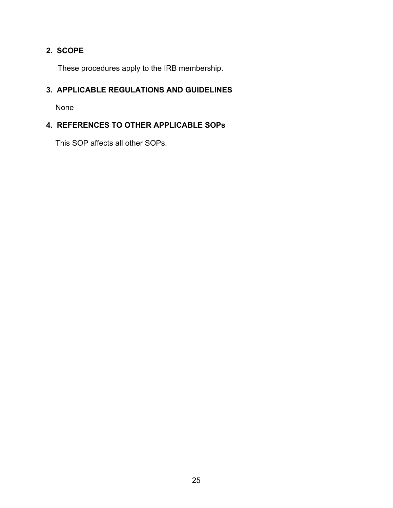# **2. SCOPE**

These procedures apply to the IRB membership.

# **3. APPLICABLE REGULATIONS AND GUIDELINES**

None

# **4. REFERENCES TO OTHER APPLICABLE SOPs**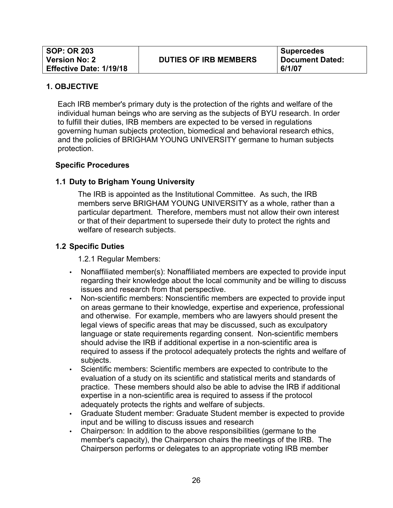Each IRB member's primary duty is the protection of the rights and welfare of the individual human beings who are serving as the subjects of BYU research. In order to fulfill their duties, IRB members are expected to be versed in regulations governing human subjects protection, biomedical and behavioral research ethics, and the policies of BRIGHAM YOUNG UNIVERSITY germane to human subjects protection.

#### **Specific Procedures**

#### **1.1 Duty to Brigham Young University**

The IRB is appointed as the Institutional Committee. As such, the IRB members serve BRIGHAM YOUNG UNIVERSITY as a whole, rather than a particular department. Therefore, members must not allow their own interest or that of their department to supersede their duty to protect the rights and welfare of research subjects.

#### **1.2 Specific Duties**

1.2.1 Regular Members:

- Nonaffiliated member(s): Nonaffiliated members are expected to provide input regarding their knowledge about the local community and be willing to discuss issues and research from that perspective.
- Non-scientific members: Nonscientific members are expected to provide input on areas germane to their knowledge, expertise and experience, professional and otherwise. For example, members who are lawyers should present the legal views of specific areas that may be discussed, such as exculpatory language or state requirements regarding consent. Non-scientific members should advise the IRB if additional expertise in a non-scientific area is required to assess if the protocol adequately protects the rights and welfare of subjects.
- Scientific members: Scientific members are expected to contribute to the evaluation of a study on its scientific and statistical merits and standards of practice. These members should also be able to advise the IRB if additional expertise in a non-scientific area is required to assess if the protocol adequately protects the rights and welfare of subjects.
- Graduate Student member: Graduate Student member is expected to provide input and be willing to discuss issues and research
- Chairperson: In addition to the above responsibilities (germane to the member's capacity), the Chairperson chairs the meetings of the IRB. The Chairperson performs or delegates to an appropriate voting IRB member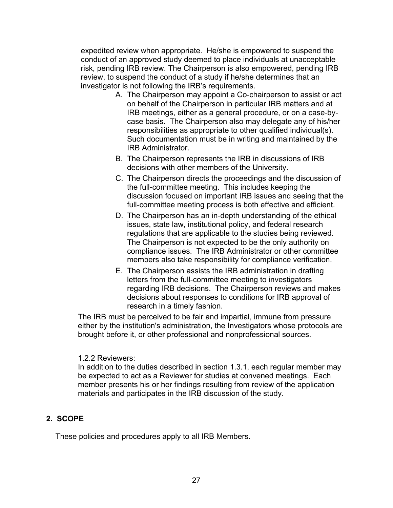expedited review when appropriate. He/she is empowered to suspend the conduct of an approved study deemed to place individuals at unacceptable risk, pending IRB review. The Chairperson is also empowered, pending IRB review, to suspend the conduct of a study if he/she determines that an investigator is not following the IRB's requirements.

- A. The Chairperson may appoint a Co-chairperson to assist or act on behalf of the Chairperson in particular IRB matters and at IRB meetings, either as a general procedure, or on a case-bycase basis. The Chairperson also may delegate any of his/her responsibilities as appropriate to other qualified individual(s). Such documentation must be in writing and maintained by the IRB Administrator.
- B. The Chairperson represents the IRB in discussions of IRB decisions with other members of the University.
- C. The Chairperson directs the proceedings and the discussion of the full-committee meeting. This includes keeping the discussion focused on important IRB issues and seeing that the full-committee meeting process is both effective and efficient.
- D. The Chairperson has an in-depth understanding of the ethical issues, state law, institutional policy, and federal research regulations that are applicable to the studies being reviewed. The Chairperson is not expected to be the only authority on compliance issues. The IRB Administrator or other committee members also take responsibility for compliance verification.
- E. The Chairperson assists the IRB administration in drafting letters from the full-committee meeting to investigators regarding IRB decisions. The Chairperson reviews and makes decisions about responses to conditions for IRB approval of research in a timely fashion.

The IRB must be perceived to be fair and impartial, immune from pressure either by the institution's administration, the Investigators whose protocols are brought before it, or other professional and nonprofessional sources.

#### 1.2.2 Reviewers:

In addition to the duties described in section 1.3.1, each regular member may be expected to act as a Reviewer for studies at convened meetings. Each member presents his or her findings resulting from review of the application materials and participates in the IRB discussion of the study.

#### **2. SCOPE**

These policies and procedures apply to all IRB Members.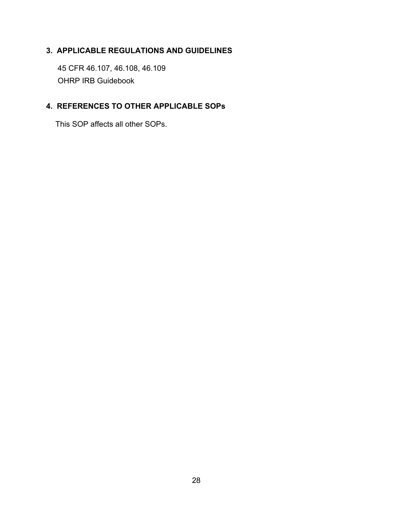# **3. APPLICABLE REGULATIONS AND GUIDELINES**

45 CFR 46.107, 46.108, 46.109 OHRP IRB Guidebook

#### **4. REFERENCES TO OTHER APPLICABLE SOPs**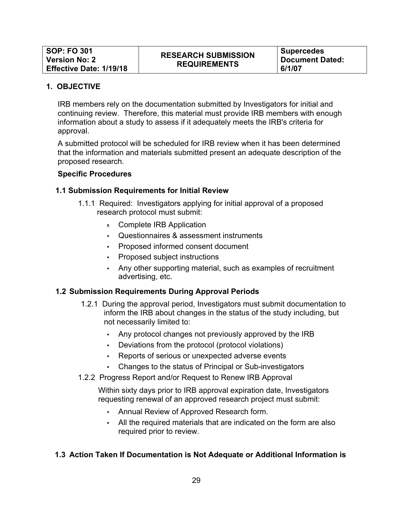IRB members rely on the documentation submitted by Investigators for initial and continuing review. Therefore, this material must provide IRB members with enough information about a study to assess if it adequately meets the IRB's criteria for approval.

A submitted protocol will be scheduled for IRB review when it has been determined that the information and materials submitted present an adequate description of the proposed research.

#### **Specific Procedures**

#### **1.1 Submission Requirements for Initial Review**

- 1.1.1 Required: Investigators applying for initial approval of a proposed research protocol must submit:
	- Complete IRB Application
	- Questionnaires & assessment instruments
	- Proposed informed consent document
	- Proposed subject instructions
	- Any other supporting material, such as examples of recruitment advertising, etc.

#### **1.2 Submission Requirements During Approval Periods**

- 1.2.1 During the approval period, Investigators must submit documentation to inform the IRB about changes in the status of the study including, but not necessarily limited to:
	- Any protocol changes not previously approved by the IRB
	- Deviations from the protocol (protocol violations)
	- Reports of serious or unexpected adverse events
	- Changes to the status of Principal or Sub-investigators
- 1.2.2 Progress Report and/or Request to Renew IRB Approval

Within sixty days prior to IRB approval expiration date, Investigators requesting renewal of an approved research project must submit:

- Annual Review of Approved Research form.
- All the required materials that are indicated on the form are also required prior to review.

#### **1.3 Action Taken If Documentation is Not Adequate or Additional Information is**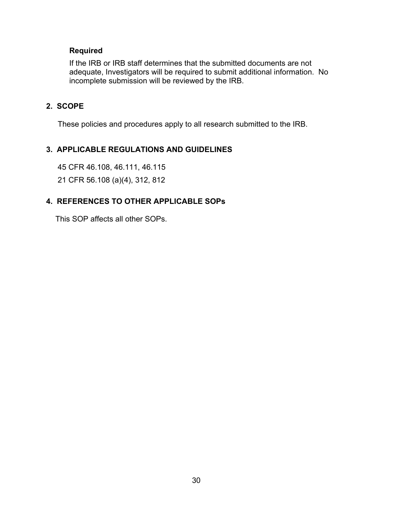#### **Required**

If the IRB or IRB staff determines that the submitted documents are not adequate, Investigators will be required to submit additional information. No incomplete submission will be reviewed by the IRB.

#### **2. SCOPE**

These policies and procedures apply to all research submitted to the IRB.

#### **3. APPLICABLE REGULATIONS AND GUIDELINES**

45 CFR 46.108, 46.111, 46.115

21 CFR 56.108 (a)(4), 312, 812

#### **4. REFERENCES TO OTHER APPLICABLE SOPs**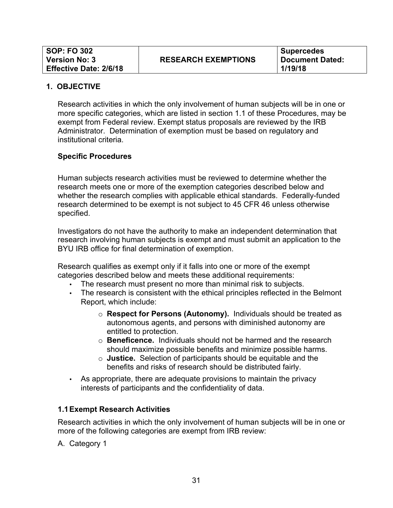Research activities in which the only involvement of human subjects will be in one or more specific categories, which are listed in section 1.1 of these Procedures, may be exempt from Federal review. Exempt status proposals are reviewed by the IRB Administrator. Determination of exemption must be based on regulatory and institutional criteria.

#### **Specific Procedures**

Human subjects research activities must be reviewed to determine whether the research meets one or more of the exemption categories described below and whether the research complies with applicable ethical standards. Federally-funded research determined to be exempt is not subject to 45 CFR 46 unless otherwise specified.

Investigators do not have the authority to make an independent determination that research involving human subjects is exempt and must submit an application to the BYU IRB office for final determination of exemption.

Research qualifies as exempt only if it falls into one or more of the exempt categories described below and meets these additional requirements:

- The research must present no more than minimal risk to subjects.
- The research is consistent with the ethical principles reflected in the Belmont Report, which include:
	- o **Respect for Persons (Autonomy).** Individuals should be treated as autonomous agents, and persons with diminished autonomy are entitled to protection.
	- o **Beneficence.** Individuals should not be harmed and the research should maximize possible benefits and minimize possible harms.
	- o **Justice.** Selection of participants should be equitable and the benefits and risks of research should be distributed fairly.
- As appropriate, there are adequate provisions to maintain the privacy interests of participants and the confidentiality of data.

#### **1.1Exempt Research Activities**

Research activities in which the only involvement of human subjects will be in one or more of the following categories are exempt from IRB review:

A. Category 1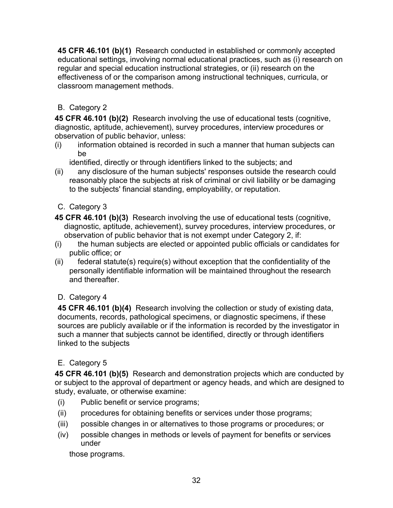**45 CFR 46.101 (b)(1)** Research conducted in established or commonly accepted educational settings, involving normal educational practices, such as (i) research on regular and special education instructional strategies, or (ii) research on the effectiveness of or the comparison among instructional techniques, curricula, or classroom management methods.

# B. Category 2

**45 CFR 46.101 (b)(2)** Research involving the use of educational tests (cognitive, diagnostic, aptitude, achievement), survey procedures, interview procedures or observation of public behavior, unless:

(i) information obtained is recorded in such a manner that human subjects can be

identified, directly or through identifiers linked to the subjects; and

- (ii) any disclosure of the human subjects' responses outside the research could reasonably place the subjects at risk of criminal or civil liability or be damaging to the subjects' financial standing, employability, or reputation.
- C. Category 3
- **45 CFR 46.101 (b)(3)** Research involving the use of educational tests (cognitive, diagnostic, aptitude, achievement), survey procedures, interview procedures, or observation of public behavior that is not exempt under Category 2, if:
- (i) the human subjects are elected or appointed public officials or candidates for public office; or
- (ii) federal statute(s) require(s) without exception that the confidentiality of the personally identifiable information will be maintained throughout the research and thereafter.
- D. Category 4

**45 CFR 46.101 (b)(4)** Research involving the collection or study of existing data, documents, records, pathological specimens, or diagnostic specimens, if these sources are publicly available or if the information is recorded by the investigator in such a manner that subjects cannot be identified, directly or through identifiers linked to the subjects

# E. Category 5

**45 CFR 46.101 (b)(5)** Research and demonstration projects which are conducted by or subject to the approval of department or agency heads, and which are designed to study, evaluate, or otherwise examine:

- (i) Public benefit or service programs;
- (ii) procedures for obtaining benefits or services under those programs;
- (iii) possible changes in or alternatives to those programs or procedures; or
- (iv) possible changes in methods or levels of payment for benefits or services under

those programs.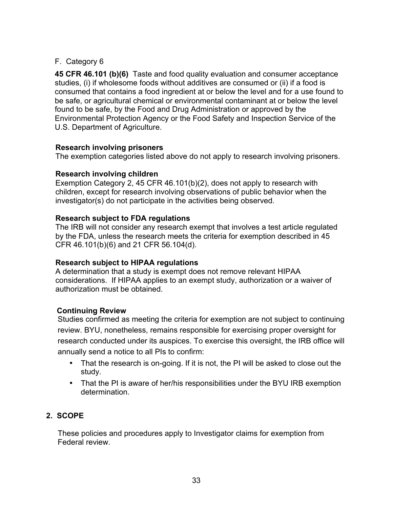#### F. Category 6

**45 CFR 46.101 (b)(6)** Taste and food quality evaluation and consumer acceptance studies, (i) if wholesome foods without additives are consumed or (ii) if a food is consumed that contains a food ingredient at or below the level and for a use found to be safe, or agricultural chemical or environmental contaminant at or below the level found to be safe, by the Food and Drug Administration or approved by the Environmental Protection Agency or the Food Safety and Inspection Service of the U.S. Department of Agriculture.

#### **Research involving prisoners**

The exemption categories listed above do not apply to research involving prisoners.

#### **Research involving children**

Exemption Category 2, 45 CFR 46.101(b)(2), does not apply to research with children, except for research involving observations of public behavior when the investigator(s) do not participate in the activities being observed.

#### **Research subject to FDA regulations**

The IRB will not consider any research exempt that involves a test article regulated by the FDA, unless the research meets the criteria for exemption described in 45 CFR 46.101(b)(6) and 21 CFR 56.104(d).

#### **Research subject to HIPAA regulations**

A determination that a study is exempt does not remove relevant HIPAA considerations. If HIPAA applies to an exempt study, authorization or a waiver of authorization must be obtained.

#### **Continuing Review**

Studies confirmed as meeting the criteria for exemption are not subject to continuing review. BYU, nonetheless, remains responsible for exercising proper oversight for research conducted under its auspices. To exercise this oversight, the IRB office will annually send a notice to all PIs to confirm:

- That the research is on-going. If it is not, the PI will be asked to close out the study.
- That the PI is aware of her/his responsibilities under the BYU IRB exemption determination.

#### **2. SCOPE**

These policies and procedures apply to Investigator claims for exemption from Federal review.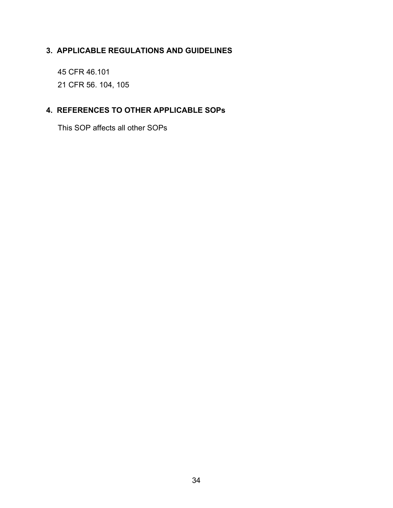# **3. APPLICABLE REGULATIONS AND GUIDELINES**

45 CFR 46.101 21 CFR 56. 104, 105

# **4. REFERENCES TO OTHER APPLICABLE SOPs**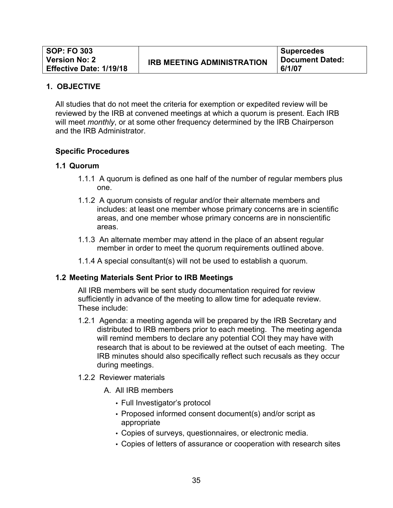All studies that do not meet the criteria for exemption or expedited review will be reviewed by the IRB at convened meetings at which a quorum is present. Each IRB will meet *monthly*, or at some other frequency determined by the IRB Chairperson and the IRB Administrator.

#### **Specific Procedures**

#### **1.1 Quorum**

- 1.1.1 A quorum is defined as one half of the number of regular members plus one.
- 1.1.2 A quorum consists of regular and/or their alternate members and includes: at least one member whose primary concerns are in scientific areas, and one member whose primary concerns are in nonscientific areas.
- 1.1.3 An alternate member may attend in the place of an absent regular member in order to meet the quorum requirements outlined above.
- 1.1.4 A special consultant(s) will not be used to establish a quorum.

#### **1.2 Meeting Materials Sent Prior to IRB Meetings**

All IRB members will be sent study documentation required for review sufficiently in advance of the meeting to allow time for adequate review. These include:

- 1.2.1 Agenda: a meeting agenda will be prepared by the IRB Secretary and distributed to IRB members prior to each meeting. The meeting agenda will remind members to declare any potential COI they may have with research that is about to be reviewed at the outset of each meeting. The IRB minutes should also specifically reflect such recusals as they occur during meetings.
- 1.2.2 Reviewer materials
	- A. All IRB members
		- Full Investigator's protocol
		- Proposed informed consent document(s) and/or script as appropriate
		- Copies of surveys, questionnaires, or electronic media.
		- Copies of letters of assurance or cooperation with research sites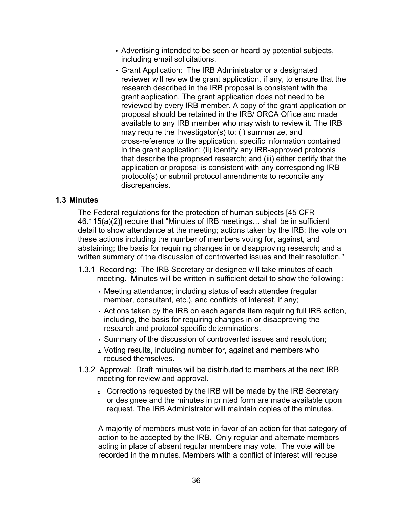- Advertising intended to be seen or heard by potential subjects, including email solicitations.
- Grant Application: The IRB Administrator or a designated reviewer will review the grant application, if any, to ensure that the research described in the IRB proposal is consistent with the grant application. The grant application does not need to be reviewed by every IRB member. A copy of the grant application or proposal should be retained in the IRB/ ORCA Office and made available to any IRB member who may wish to review it. The IRB may require the Investigator(s) to: (i) summarize, and cross-reference to the application, specific information contained in the grant application; (ii) identify any IRB-approved protocols that describe the proposed research; and (iii) either certify that the application or proposal is consistent with any corresponding IRB protocol(s) or submit protocol amendments to reconcile any discrepancies.

#### **1.3 Minutes**

The Federal regulations for the protection of human subjects [45 CFR 46.115(a)(2)] require that "Minutes of IRB meetings… shall be in sufficient detail to show attendance at the meeting; actions taken by the IRB; the vote on these actions including the number of members voting for, against, and abstaining; the basis for requiring changes in or disapproving research; and a written summary of the discussion of controverted issues and their resolution."

- 1.3.1 Recording: The IRB Secretary or designee will take minutes of each meeting. Minutes will be written in sufficient detail to show the following:
	- Meeting attendance; including status of each attendee (regular member, consultant, etc.), and conflicts of interest, if any;
	- Actions taken by the IRB on each agenda item requiring full IRB action, including, the basis for requiring changes in or disapproving the research and protocol specific determinations.
	- Summary of the discussion of controverted issues and resolution;
	- Voting results, including number for, against and members who recused themselves.
- 1.3.2 Approval: Draft minutes will be distributed to members at the next IRB meeting for review and approval.
	- Corrections requested by the IRB will be made by the IRB Secretary or designee and the minutes in printed form are made available upon request. The IRB Administrator will maintain copies of the minutes.

A majority of members must vote in favor of an action for that category of action to be accepted by the IRB. Only regular and alternate members acting in place of absent regular members may vote. The vote will be recorded in the minutes. Members with a conflict of interest will recuse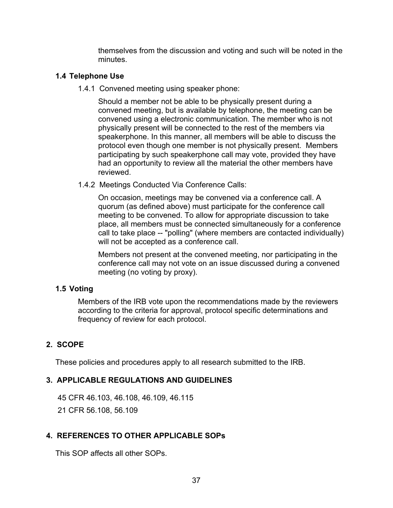themselves from the discussion and voting and such will be noted in the minutes.

## **1.4 Telephone Use**

1.4.1 Convened meeting using speaker phone:

Should a member not be able to be physically present during a convened meeting, but is available by telephone, the meeting can be convened using a electronic communication. The member who is not physically present will be connected to the rest of the members via speakerphone. In this manner, all members will be able to discuss the protocol even though one member is not physically present. Members participating by such speakerphone call may vote, provided they have had an opportunity to review all the material the other members have reviewed.

1.4.2 Meetings Conducted Via Conference Calls:

On occasion, meetings may be convened via a conference call. A quorum (as defined above) must participate for the conference call meeting to be convened. To allow for appropriate discussion to take place, all members must be connected simultaneously for a conference call to take place -- "polling" (where members are contacted individually) will not be accepted as a conference call.

Members not present at the convened meeting, nor participating in the conference call may not vote on an issue discussed during a convened meeting (no voting by proxy).

#### **1.5 Voting**

Members of the IRB vote upon the recommendations made by the reviewers according to the criteria for approval, protocol specific determinations and frequency of review for each protocol.

# **2. SCOPE**

These policies and procedures apply to all research submitted to the IRB.

# **3. APPLICABLE REGULATIONS AND GUIDELINES**

45 CFR 46.103, 46.108, 46.109, 46.115

21 CFR 56.108, 56.109

# **4. REFERENCES TO OTHER APPLICABLE SOPs**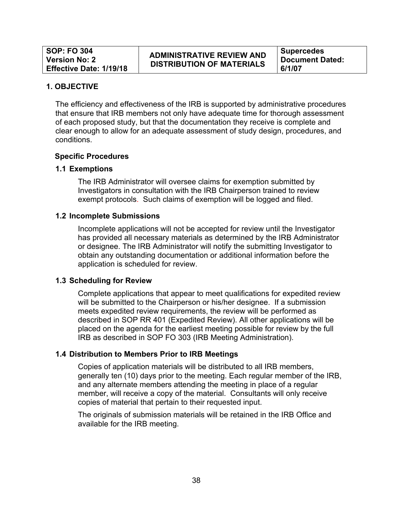# **ADMINISTRATIVE REVIEW AND DISTRIBUTION OF MATERIALS**

**Supercedes Document Dated: 6/1/07**

#### **1. OBJECTIVE**

The efficiency and effectiveness of the IRB is supported by administrative procedures that ensure that IRB members not only have adequate time for thorough assessment of each proposed study, but that the documentation they receive is complete and clear enough to allow for an adequate assessment of study design, procedures, and conditions.

## **Specific Procedures**

## **1.1 Exemptions**

The IRB Administrator will oversee claims for exemption submitted by Investigators in consultation with the IRB Chairperson trained to review exempt protocols. Such claims of exemption will be logged and filed.

#### **1.2 Incomplete Submissions**

Incomplete applications will not be accepted for review until the Investigator has provided all necessary materials as determined by the IRB Administrator or designee. The IRB Administrator will notify the submitting Investigator to obtain any outstanding documentation or additional information before the application is scheduled for review.

#### **1.3 Scheduling for Review**

Complete applications that appear to meet qualifications for expedited review will be submitted to the Chairperson or his/her designee. If a submission meets expedited review requirements, the review will be performed as described in SOP RR 401 (Expedited Review). All other applications will be placed on the agenda for the earliest meeting possible for review by the full IRB as described in SOP FO 303 (IRB Meeting Administration).

#### **1.4 Distribution to Members Prior to IRB Meetings**

Copies of application materials will be distributed to all IRB members, generally ten (10) days prior to the meeting. Each regular member of the IRB, and any alternate members attending the meeting in place of a regular member, will receive a copy of the material. Consultants will only receive copies of material that pertain to their requested input.

The originals of submission materials will be retained in the IRB Office and available for the IRB meeting.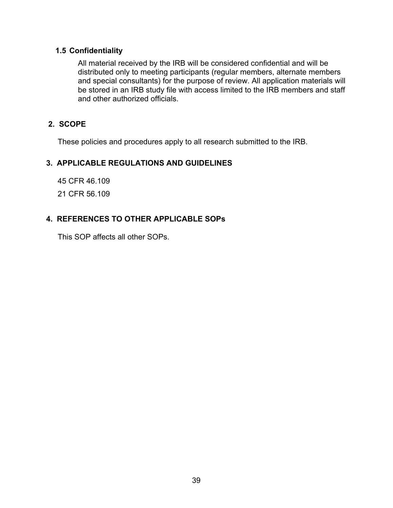# **1.5 Confidentiality**

All material received by the IRB will be considered confidential and will be distributed only to meeting participants (regular members, alternate members and special consultants) for the purpose of review. All application materials will be stored in an IRB study file with access limited to the IRB members and staff and other authorized officials.

# **2. SCOPE**

These policies and procedures apply to all research submitted to the IRB.

# **3. APPLICABLE REGULATIONS AND GUIDELINES**

45 CFR 46.109

21 CFR 56.109

# **4. REFERENCES TO OTHER APPLICABLE SOPs**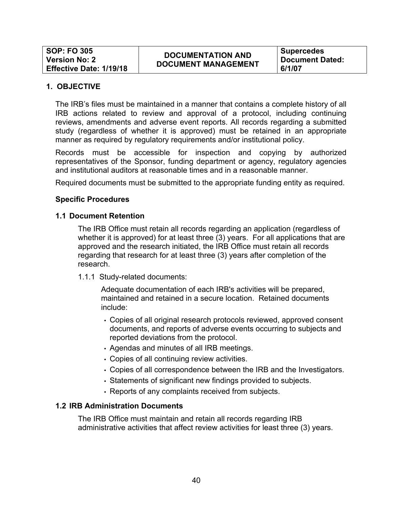# **DOCUMENTATION AND DOCUMENT MANAGEMENT**

**Supercedes Document Dated: 6/1/07**

#### **1. OBJECTIVE**

The IRB's files must be maintained in a manner that contains a complete history of all IRB actions related to review and approval of a protocol, including continuing reviews, amendments and adverse event reports. All records regarding a submitted study (regardless of whether it is approved) must be retained in an appropriate manner as required by regulatory requirements and/or institutional policy.

Records must be accessible for inspection and copying by authorized representatives of the Sponsor, funding department or agency, regulatory agencies and institutional auditors at reasonable times and in a reasonable manner.

Required documents must be submitted to the appropriate funding entity as required.

#### **Specific Procedures**

#### **1.1 Document Retention**

The IRB Office must retain all records regarding an application (regardless of whether it is approved) for at least three (3) years. For all applications that are approved and the research initiated, the IRB Office must retain all records regarding that research for at least three (3) years after completion of the research.

1.1.1 Study-related documents:

Adequate documentation of each IRB's activities will be prepared, maintained and retained in a secure location. Retained documents include:

- Copies of all original research protocols reviewed, approved consent documents, and reports of adverse events occurring to subjects and reported deviations from the protocol.
- Agendas and minutes of all IRB meetings.
- Copies of all continuing review activities.
- Copies of all correspondence between the IRB and the Investigators.
- Statements of significant new findings provided to subjects.
- Reports of any complaints received from subjects.

#### **1.2 IRB Administration Documents**

The IRB Office must maintain and retain all records regarding IRB administrative activities that affect review activities for least three (3) years.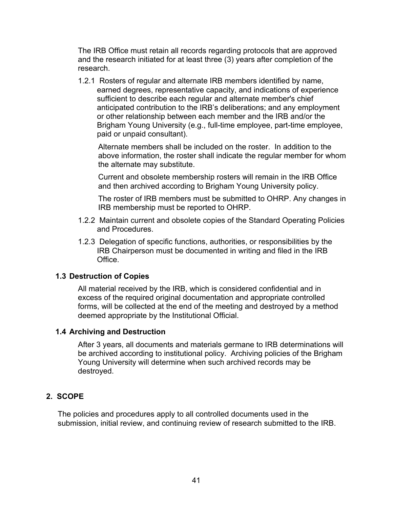The IRB Office must retain all records regarding protocols that are approved and the research initiated for at least three (3) years after completion of the research.

1.2.1 Rosters of regular and alternate IRB members identified by name, earned degrees, representative capacity, and indications of experience sufficient to describe each regular and alternate member's chief anticipated contribution to the IRB's deliberations; and any employment or other relationship between each member and the IRB and/or the Brigham Young University (e.g., full-time employee, part-time employee, paid or unpaid consultant).

Alternate members shall be included on the roster. In addition to the above information, the roster shall indicate the regular member for whom the alternate may substitute.

Current and obsolete membership rosters will remain in the IRB Office and then archived according to Brigham Young University policy.

The roster of IRB members must be submitted to OHRP. Any changes in IRB membership must be reported to OHRP.

- 1.2.2 Maintain current and obsolete copies of the Standard Operating Policies and Procedures.
- 1.2.3 Delegation of specific functions, authorities, or responsibilities by the IRB Chairperson must be documented in writing and filed in the IRB Office.

# **1.3 Destruction of Copies**

All material received by the IRB, which is considered confidential and in excess of the required original documentation and appropriate controlled forms, will be collected at the end of the meeting and destroyed by a method deemed appropriate by the Institutional Official.

# **1.4 Archiving and Destruction**

After 3 years, all documents and materials germane to IRB determinations will be archived according to institutional policy. Archiving policies of the Brigham Young University will determine when such archived records may be destroyed.

# **2. SCOPE**

The policies and procedures apply to all controlled documents used in the submission, initial review, and continuing review of research submitted to the IRB.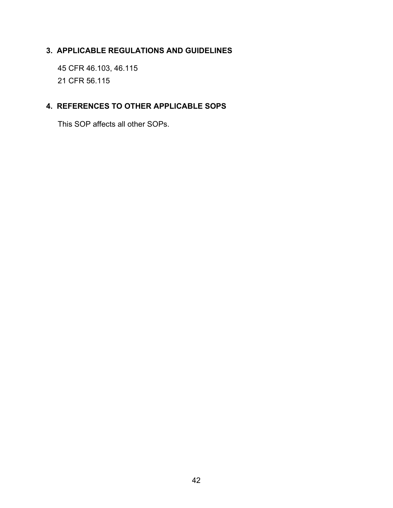# **3. APPLICABLE REGULATIONS AND GUIDELINES**

45 CFR 46.103, 46.115 21 CFR 56.115

# **4. REFERENCES TO OTHER APPLICABLE SOPS**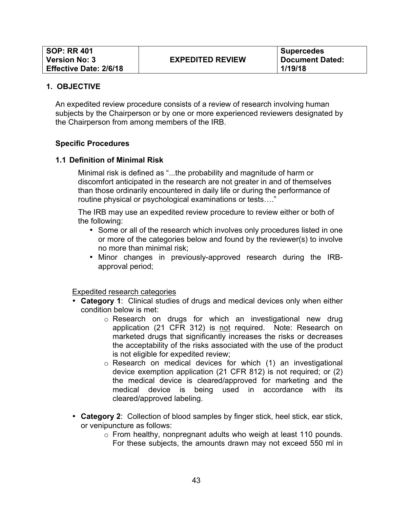An expedited review procedure consists of a review of research involving human subjects by the Chairperson or by one or more experienced reviewers designated by the Chairperson from among members of the IRB.

#### **Specific Procedures**

#### **1.1 Definition of Minimal Risk**

Minimal risk is defined as "...the probability and magnitude of harm or discomfort anticipated in the research are not greater in and of themselves than those ordinarily encountered in daily life or during the performance of routine physical or psychological examinations or tests…."

The IRB may use an expedited review procedure to review either or both of the following:

- Some or all of the research which involves only procedures listed in one or more of the categories below and found by the reviewer(s) to involve no more than minimal risk;
- Minor changes in previously-approved research during the IRBapproval period;

Expedited research categories

- **Category 1**:Clinical studies of drugs and medical devices only when either condition below is met:
	- o Research on drugs for which an investigational new drug application (21 CFR 312) is not required. Note: Research on marketed drugs that significantly increases the risks or decreases the acceptability of the risks associated with the use of the product is not eligible for expedited review;
	- o Research on medical devices for which (1) an investigational device exemption application (21 CFR 812) is not required; or (2) the medical device is cleared/approved for marketing and the medical device is being used in accordance with its cleared/approved labeling.
- **Category 2**: Collection of blood samples by finger stick, heel stick, ear stick, or venipuncture as follows:
	- o From healthy, nonpregnant adults who weigh at least 110 pounds. For these subjects, the amounts drawn may not exceed 550 ml in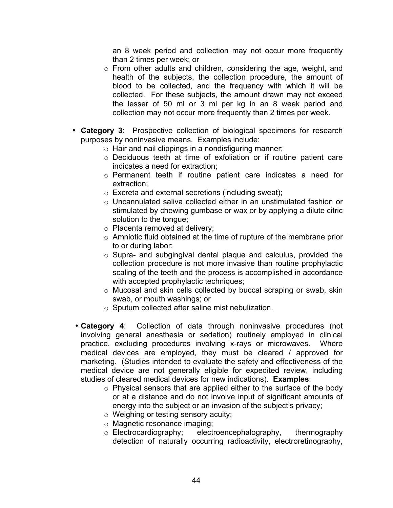an 8 week period and collection may not occur more frequently than 2 times per week; or

- o From other adults and children, considering the age, weight, and health of the subjects, the collection procedure, the amount of blood to be collected, and the frequency with which it will be collected. For these subjects, the amount drawn may not exceed the lesser of 50 ml or 3 ml per kg in an 8 week period and collection may not occur more frequently than 2 times per week.
- **Category 3**: Prospective collection of biological specimens for research purposes by noninvasive means. Examples include:
	- o Hair and nail clippings in a nondisfiguring manner;
	- o Deciduous teeth at time of exfoliation or if routine patient care indicates a need for extraction;
	- o Permanent teeth if routine patient care indicates a need for extraction;
	- o Excreta and external secretions (including sweat);
	- o Uncannulated saliva collected either in an unstimulated fashion or stimulated by chewing gumbase or wax or by applying a dilute citric solution to the tongue;
	- o Placenta removed at delivery;
	- o Amniotic fluid obtained at the time of rupture of the membrane prior to or during labor;
	- o Supra- and subgingival dental plaque and calculus, provided the collection procedure is not more invasive than routine prophylactic scaling of the teeth and the process is accomplished in accordance with accepted prophylactic techniques;
	- o Mucosal and skin cells collected by buccal scraping or swab, skin swab, or mouth washings; or
	- o Sputum collected after saline mist nebulization.
- **Category 4**: Collection of data through noninvasive procedures (not involving general anesthesia or sedation) routinely employed in clinical practice, excluding procedures involving x-rays or microwaves. Where medical devices are employed, they must be cleared / approved for marketing. (Studies intended to evaluate the safety and effectiveness of the medical device are not generally eligible for expedited review, including studies of cleared medical devices for new indications). **Examples**:
	- o Physical sensors that are applied either to the surface of the body or at a distance and do not involve input of significant amounts of energy into the subject or an invasion of the subject's privacy;
	- o Weighing or testing sensory acuity;
	- o Magnetic resonance imaging;
	- o Electrocardiography; electroencephalography, thermography detection of naturally occurring radioactivity, electroretinography,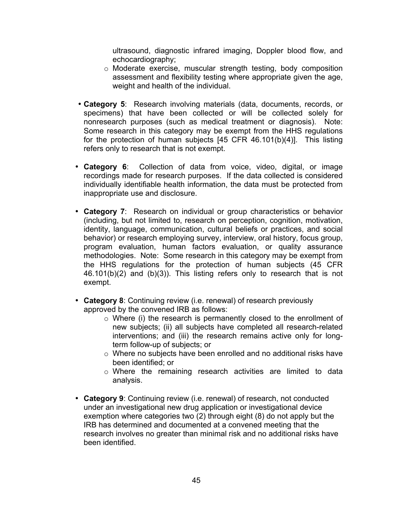ultrasound, diagnostic infrared imaging, Doppler blood flow, and echocardiography;

- o Moderate exercise, muscular strength testing, body composition assessment and flexibility testing where appropriate given the age, weight and health of the individual.
- **Category 5**: Research involving materials (data, documents, records, or specimens) that have been collected or will be collected solely for nonresearch purposes (such as medical treatment or diagnosis). Note: Some research in this category may be exempt from the HHS regulations for the protection of human subjects [45 CFR 46.101(b)(4)]. This listing refers only to research that is not exempt.
- **Category 6**: Collection of data from voice, video, digital, or image recordings made for research purposes. If the data collected is considered individually identifiable health information, the data must be protected from inappropriate use and disclosure.
- **Category 7**: Research on individual or group characteristics or behavior (including, but not limited to, research on perception, cognition, motivation, identity, language, communication, cultural beliefs or practices, and social behavior) or research employing survey, interview, oral history, focus group, program evaluation, human factors evaluation, or quality assurance methodologies. Note: Some research in this category may be exempt from the HHS regulations for the protection of human subjects (45 CFR 46.101(b)(2) and (b)(3)). This listing refers only to research that is not exempt.
- **Category 8**: Continuing review (i.e. renewal) of research previously approved by the convened IRB as follows:
	- o Where (i) the research is permanently closed to the enrollment of new subjects; (ii) all subjects have completed all research-related interventions; and (iii) the research remains active only for longterm follow-up of subjects; or
	- o Where no subjects have been enrolled and no additional risks have been identified; or
	- o Where the remaining research activities are limited to data analysis.
- **Category 9**: Continuing review (i.e. renewal) of research, not conducted under an investigational new drug application or investigational device exemption where categories two (2) through eight (8) do not apply but the IRB has determined and documented at a convened meeting that the research involves no greater than minimal risk and no additional risks have been identified.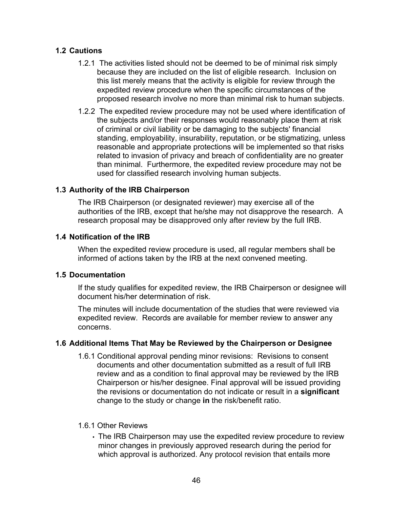# **1.2 Cautions**

- 1.2.1 The activities listed should not be deemed to be of minimal risk simply because they are included on the list of eligible research. Inclusion on this list merely means that the activity is eligible for review through the expedited review procedure when the specific circumstances of the proposed research involve no more than minimal risk to human subjects.
- 1.2.2 The expedited review procedure may not be used where identification of the subjects and/or their responses would reasonably place them at risk of criminal or civil liability or be damaging to the subjects' financial standing, employability, insurability, reputation, or be stigmatizing, unless reasonable and appropriate protections will be implemented so that risks related to invasion of privacy and breach of confidentiality are no greater than minimal. Furthermore, the expedited review procedure may not be used for classified research involving human subjects.

# **1.3 Authority of the IRB Chairperson**

The IRB Chairperson (or designated reviewer) may exercise all of the authorities of the IRB, except that he/she may not disapprove the research. A research proposal may be disapproved only after review by the full IRB.

## **1.4 Notification of the IRB**

When the expedited review procedure is used, all regular members shall be informed of actions taken by the IRB at the next convened meeting.

#### **1.5 Documentation**

If the study qualifies for expedited review, the IRB Chairperson or designee will document his/her determination of risk.

The minutes will include documentation of the studies that were reviewed via expedited review. Records are available for member review to answer any concerns.

# **1.6 Additional Items That May be Reviewed by the Chairperson or Designee**

1.6.1 Conditional approval pending minor revisions: Revisions to consent documents and other documentation submitted as a result of full IRB review and as a condition to final approval may be reviewed by the IRB Chairperson or his/her designee. Final approval will be issued providing the revisions or documentation do not indicate or result in a **significant**  change to the study or change **in** the risk/benefit ratio.

#### 1.6.1 Other Reviews

• The IRB Chairperson may use the expedited review procedure to review minor changes in previously approved research during the period for which approval is authorized. Any protocol revision that entails more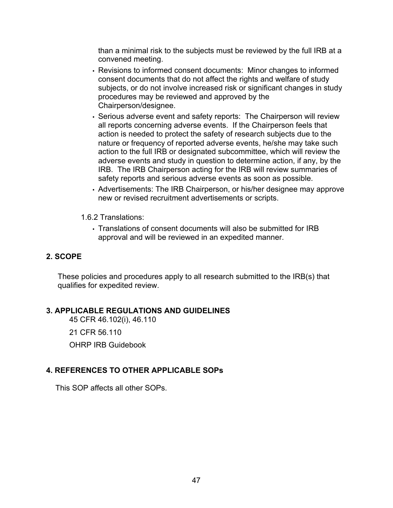than a minimal risk to the subjects must be reviewed by the full IRB at a convened meeting.

- Revisions to informed consent documents: Minor changes to informed consent documents that do not affect the rights and welfare of study subjects, or do not involve increased risk or significant changes in study procedures may be reviewed and approved by the Chairperson/designee.
- Serious adverse event and safety reports: The Chairperson will review all reports concerning adverse events. If the Chairperson feels that action is needed to protect the safety of research subjects due to the nature or frequency of reported adverse events, he/she may take such action to the full IRB or designated subcommittee, which will review the adverse events and study in question to determine action, if any, by the IRB. The IRB Chairperson acting for the IRB will review summaries of safety reports and serious adverse events as soon as possible.
- Advertisements: The IRB Chairperson, or his/her designee may approve new or revised recruitment advertisements or scripts.
- 1.6.2 Translations:
	- Translations of consent documents will also be submitted for IRB approval and will be reviewed in an expedited manner.

# **2. SCOPE**

These policies and procedures apply to all research submitted to the IRB(s) that qualifies for expedited review.

# **3. APPLICABLE REGULATIONS AND GUIDELINES**

45 CFR 46.102(i), 46.110

21 CFR 56.110

OHRP IRB Guidebook

# **4. REFERENCES TO OTHER APPLICABLE SOPs**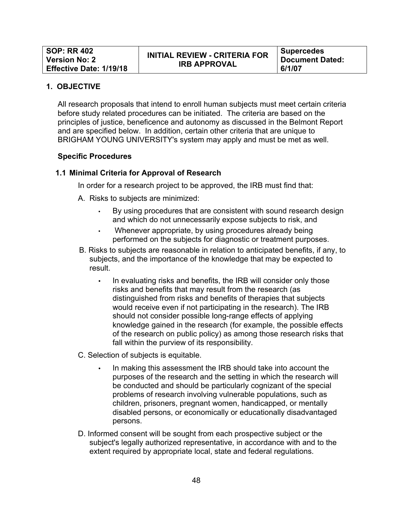All research proposals that intend to enroll human subjects must meet certain criteria before study related procedures can be initiated. The criteria are based on the principles of justice, beneficence and autonomy as discussed in the Belmont Report and are specified below. In addition, certain other criteria that are unique to BRIGHAM YOUNG UNIVERSITY's system may apply and must be met as well.

#### **Specific Procedures**

## **1.1 Minimal Criteria for Approval of Research**

In order for a research project to be approved, the IRB must find that:

A. Risks to subjects are minimized:

- By using procedures that are consistent with sound research design and which do not unnecessarily expose subjects to risk, and
- Whenever appropriate, by using procedures already being performed on the subjects for diagnostic or treatment purposes.
- B. Risks to subjects are reasonable in relation to anticipated benefits, if any, to subjects, and the importance of the knowledge that may be expected to result.
	- In evaluating risks and benefits, the IRB will consider only those risks and benefits that may result from the research (as distinguished from risks and benefits of therapies that subjects would receive even if not participating in the research). The IRB should not consider possible long-range effects of applying knowledge gained in the research (for example, the possible effects of the research on public policy) as among those research risks that fall within the purview of its responsibility.
- C. Selection of subjects is equitable.
	- In making this assessment the IRB should take into account the purposes of the research and the setting in which the research will be conducted and should be particularly cognizant of the special problems of research involving vulnerable populations, such as children, prisoners, pregnant women, handicapped, or mentally disabled persons, or economically or educationally disadvantaged persons.
- D. Informed consent will be sought from each prospective subject or the subject's legally authorized representative, in accordance with and to the extent required by appropriate local, state and federal regulations.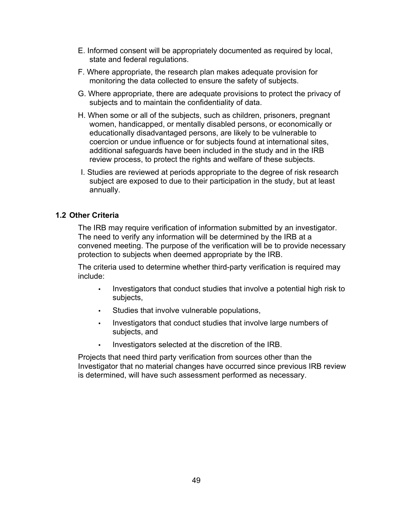- E. Informed consent will be appropriately documented as required by local, state and federal regulations.
- F. Where appropriate, the research plan makes adequate provision for monitoring the data collected to ensure the safety of subjects.
- G. Where appropriate, there are adequate provisions to protect the privacy of subjects and to maintain the confidentiality of data.
- H. When some or all of the subjects, such as children, prisoners, pregnant women, handicapped, or mentally disabled persons, or economically or educationally disadvantaged persons, are likely to be vulnerable to coercion or undue influence or for subjects found at international sites, additional safeguards have been included in the study and in the IRB review process, to protect the rights and welfare of these subjects.
- I. Studies are reviewed at periods appropriate to the degree of risk research subject are exposed to due to their participation in the study, but at least annually.

## **1.2 Other Criteria**

The IRB may require verification of information submitted by an investigator. The need to verify any information will be determined by the IRB at a convened meeting. The purpose of the verification will be to provide necessary protection to subjects when deemed appropriate by the IRB.

The criteria used to determine whether third-party verification is required may include:

- Investigators that conduct studies that involve a potential high risk to subjects,
- Studies that involve vulnerable populations,
- Investigators that conduct studies that involve large numbers of subjects, and
- Investigators selected at the discretion of the IRB.

Projects that need third party verification from sources other than the Investigator that no material changes have occurred since previous IRB review is determined, will have such assessment performed as necessary.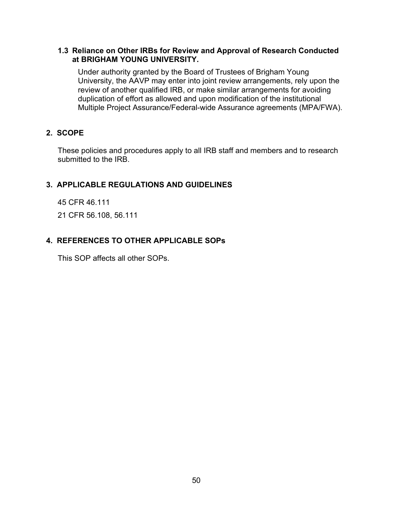#### **1.3 Reliance on Other IRBs for Review and Approval of Research Conducted at BRIGHAM YOUNG UNIVERSITY.**

Under authority granted by the Board of Trustees of Brigham Young University, the AAVP may enter into joint review arrangements, rely upon the review of another qualified IRB, or make similar arrangements for avoiding duplication of effort as allowed and upon modification of the institutional Multiple Project Assurance/Federal-wide Assurance agreements (MPA/FWA).

## **2. SCOPE**

These policies and procedures apply to all IRB staff and members and to research submitted to the IRB.

# **3. APPLICABLE REGULATIONS AND GUIDELINES**

45 CFR 46.111

21 CFR 56.108, 56.111

# **4. REFERENCES TO OTHER APPLICABLE SOPs**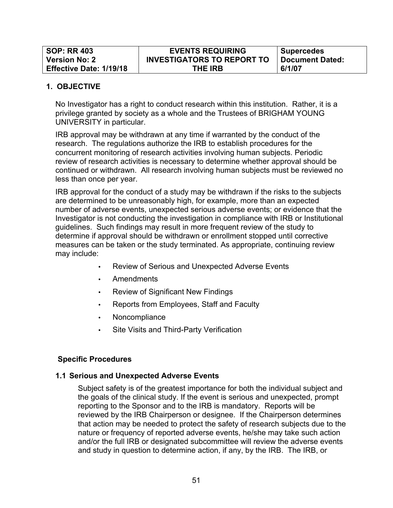| <b>SOP: RR 403</b>             | <b>EVENTS REQUIRING</b>           | <b>Supercedes</b> |
|--------------------------------|-----------------------------------|-------------------|
| <b>Version No: 2</b>           | <b>INVESTIGATORS TO REPORT TO</b> | Document Dated:   |
| <b>Effective Date: 1/19/18</b> | <b>THE IRB</b>                    | 6/1/07            |

No Investigator has a right to conduct research within this institution. Rather, it is a privilege granted by society as a whole and the Trustees of BRIGHAM YOUNG UNIVERSITY in particular.

IRB approval may be withdrawn at any time if warranted by the conduct of the research. The regulations authorize the IRB to establish procedures for the concurrent monitoring of research activities involving human subjects. Periodic review of research activities is necessary to determine whether approval should be continued or withdrawn. All research involving human subjects must be reviewed no less than once per year.

IRB approval for the conduct of a study may be withdrawn if the risks to the subjects are determined to be unreasonably high, for example, more than an expected number of adverse events, unexpected serious adverse events; or evidence that the Investigator is not conducting the investigation in compliance with IRB or Institutional guidelines. Such findings may result in more frequent review of the study to determine if approval should be withdrawn or enrollment stopped until corrective measures can be taken or the study terminated. As appropriate, continuing review may include:

- Review of Serious and Unexpected Adverse Events
- Amendments
- Review of Significant New Findings
- Reports from Employees, Staff and Faculty
- Noncompliance
- Site Visits and Third-Party Verification

#### **Specific Procedures**

#### **1.1 Serious and Unexpected Adverse Events**

Subject safety is of the greatest importance for both the individual subject and the goals of the clinical study. If the event is serious and unexpected, prompt reporting to the Sponsor and to the IRB is mandatory. Reports will be reviewed by the IRB Chairperson or designee. If the Chairperson determines that action may be needed to protect the safety of research subjects due to the nature or frequency of reported adverse events, he/she may take such action and/or the full IRB or designated subcommittee will review the adverse events and study in question to determine action, if any, by the IRB. The IRB, or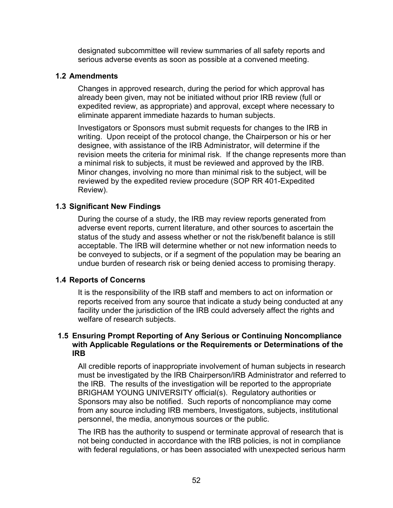designated subcommittee will review summaries of all safety reports and serious adverse events as soon as possible at a convened meeting.

#### **1.2 Amendments**

Changes in approved research, during the period for which approval has already been given, may not be initiated without prior IRB review (full or expedited review, as appropriate) and approval, except where necessary to eliminate apparent immediate hazards to human subjects.

Investigators or Sponsors must submit requests for changes to the IRB in writing. Upon receipt of the protocol change, the Chairperson or his or her designee, with assistance of the IRB Administrator, will determine if the revision meets the criteria for minimal risk. If the change represents more than a minimal risk to subjects, it must be reviewed and approved by the IRB. Minor changes, involving no more than minimal risk to the subject, will be reviewed by the expedited review procedure (SOP RR 401-Expedited Review).

# **1.3 Significant New Findings**

During the course of a study, the IRB may review reports generated from adverse event reports, current literature, and other sources to ascertain the status of the study and assess whether or not the risk/benefit balance is still acceptable. The IRB will determine whether or not new information needs to be conveyed to subjects, or if a segment of the population may be bearing an undue burden of research risk or being denied access to promising therapy.

# **1.4 Reports of Concerns**

It is the responsibility of the IRB staff and members to act on information or reports received from any source that indicate a study being conducted at any facility under the jurisdiction of the IRB could adversely affect the rights and welfare of research subjects.

## **1.5 Ensuring Prompt Reporting of Any Serious or Continuing Noncompliance with Applicable Regulations or the Requirements or Determinations of the IRB**

All credible reports of inappropriate involvement of human subjects in research must be investigated by the IRB Chairperson/IRB Administrator and referred to the IRB. The results of the investigation will be reported to the appropriate BRIGHAM YOUNG UNIVERSITY official(s). Regulatory authorities or Sponsors may also be notified. Such reports of noncompliance may come from any source including IRB members, Investigators, subjects, institutional personnel, the media, anonymous sources or the public.

The IRB has the authority to suspend or terminate approval of research that is not being conducted in accordance with the IRB policies, is not in compliance with federal regulations, or has been associated with unexpected serious harm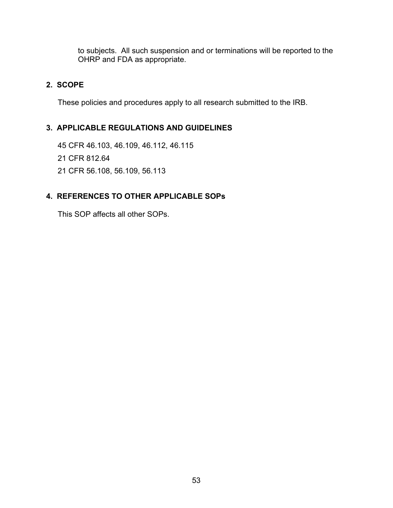to subjects. All such suspension and or terminations will be reported to the OHRP and FDA as appropriate.

# **2. SCOPE**

These policies and procedures apply to all research submitted to the IRB.

# **3. APPLICABLE REGULATIONS AND GUIDELINES**

45 CFR 46.103, 46.109, 46.112, 46.115

- 21 CFR 812.64
- 21 CFR 56.108, 56.109, 56.113

# **4. REFERENCES TO OTHER APPLICABLE SOPs**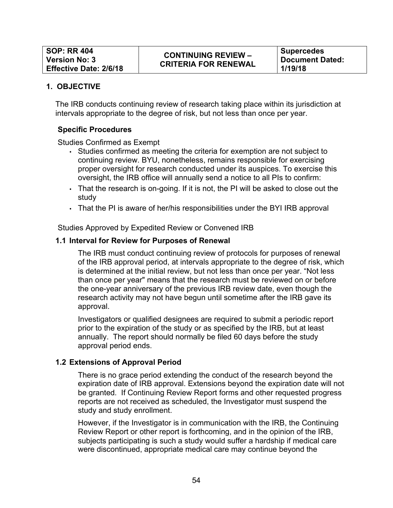The IRB conducts continuing review of research taking place within its jurisdiction at intervals appropriate to the degree of risk, but not less than once per year.

## **Specific Procedures**

Studies Confirmed as Exempt

- Studies confirmed as meeting the criteria for exemption are not subject to continuing review. BYU, nonetheless, remains responsible for exercising proper oversight for research conducted under its auspices. To exercise this oversight, the IRB office will annually send a notice to all PIs to confirm:
- That the research is on-going. If it is not, the PI will be asked to close out the study
- That the PI is aware of her/his responsibilities under the BYI IRB approval

Studies Approved by Expedited Review or Convened IRB

#### **1.1 Interval for Review for Purposes of Renewal**

The IRB must conduct continuing review of protocols for purposes of renewal of the IRB approval period, at intervals appropriate to the degree of risk, which is determined at the initial review, but not less than once per year. "Not less than once per year" means that the research must be reviewed on or before the one-year anniversary of the previous IRB review date, even though the research activity may not have begun until sometime after the IRB gave its approval.

Investigators or qualified designees are required to submit a periodic report prior to the expiration of the study or as specified by the IRB, but at least annually. The report should normally be filed 60 days before the study approval period ends.

#### **1.2 Extensions of Approval Period**

There is no grace period extending the conduct of the research beyond the expiration date of IRB approval. Extensions beyond the expiration date will not be granted*.* If Continuing Review Report forms and other requested progress reports are not received as scheduled, the Investigator must suspend the study and study enrollment.

However, if the Investigator is in communication with the IRB, the Continuing Review Report or other report is forthcoming, and in the opinion of the IRB, subjects participating is such a study would suffer a hardship if medical care were discontinued, appropriate medical care may continue beyond the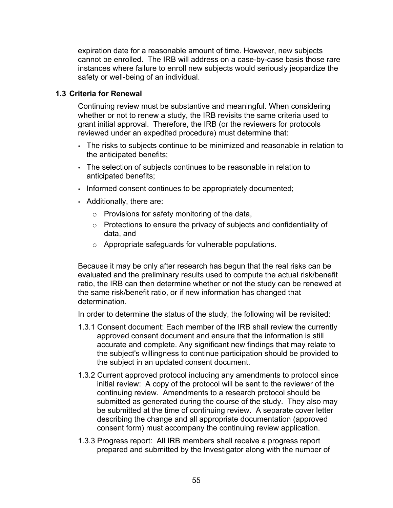expiration date for a reasonable amount of time. However, new subjects cannot be enrolled. The IRB will address on a case-by-case basis those rare instances where failure to enroll new subjects would seriously jeopardize the safety or well-being of an individual.

## **1.3 Criteria for Renewal**

Continuing review must be substantive and meaningful. When considering whether or not to renew a study, the IRB revisits the same criteria used to grant initial approval. Therefore, the IRB (or the reviewers for protocols reviewed under an expedited procedure) must determine that:

- The risks to subjects continue to be minimized and reasonable in relation to the anticipated benefits;
- The selection of subjects continues to be reasonable in relation to anticipated benefits;
- Informed consent continues to be appropriately documented;
- Additionally, there are:
	- $\circ$  Provisions for safety monitoring of the data,
	- $\circ$  Protections to ensure the privacy of subjects and confidentiality of data, and
	- o Appropriate safeguards for vulnerable populations.

Because it may be only after research has begun that the real risks can be evaluated and the preliminary results used to compute the actual risk/benefit ratio, the IRB can then determine whether or not the study can be renewed at the same risk/benefit ratio, or if new information has changed that determination.

In order to determine the status of the study, the following will be revisited:

- 1.3.1 Consent document: Each member of the IRB shall review the currently approved consent document and ensure that the information is still accurate and complete. Any significant new findings that may relate to the subject's willingness to continue participation should be provided to the subject in an updated consent document.
- 1.3.2 Current approved protocol including any amendments to protocol since initial review: A copy of the protocol will be sent to the reviewer of the continuing review. Amendments to a research protocol should be submitted as generated during the course of the study. They also may be submitted at the time of continuing review. A separate cover letter describing the change and all appropriate documentation (approved consent form) must accompany the continuing review application.
- 1.3.3 Progress report: All IRB members shall receive a progress report prepared and submitted by the Investigator along with the number of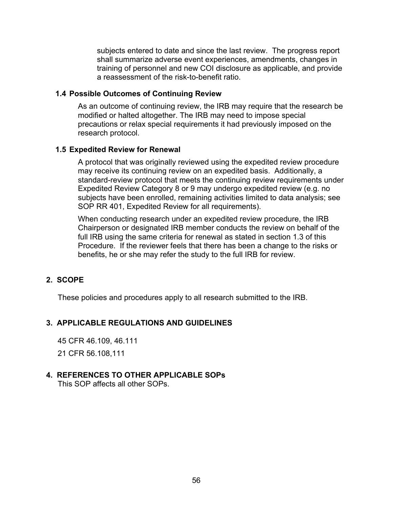subjects entered to date and since the last review. The progress report shall summarize adverse event experiences, amendments, changes in training of personnel and new COI disclosure as applicable, and provide a reassessment of the risk-to-benefit ratio.

### **1.4 Possible Outcomes of Continuing Review**

As an outcome of continuing review, the IRB may require that the research be modified or halted altogether. The IRB may need to impose special precautions or relax special requirements it had previously imposed on the research protocol.

## **1.5 Expedited Review for Renewal**

A protocol that was originally reviewed using the expedited review procedure may receive its continuing review on an expedited basis. Additionally, a standard-review protocol that meets the continuing review requirements under Expedited Review Category 8 or 9 may undergo expedited review (e.g. no subjects have been enrolled, remaining activities limited to data analysis; see SOP RR 401, Expedited Review for all requirements).

When conducting research under an expedited review procedure, the IRB Chairperson or designated IRB member conducts the review on behalf of the full IRB using the same criteria for renewal as stated in section 1.3 of this Procedure. If the reviewer feels that there has been a change to the risks or benefits, he or she may refer the study to the full IRB for review.

# **2. SCOPE**

These policies and procedures apply to all research submitted to the IRB.

# **3. APPLICABLE REGULATIONS AND GUIDELINES**

45 CFR 46.109, 46.111

21 CFR 56.108,111

# **4. REFERENCES TO OTHER APPLICABLE SOPs**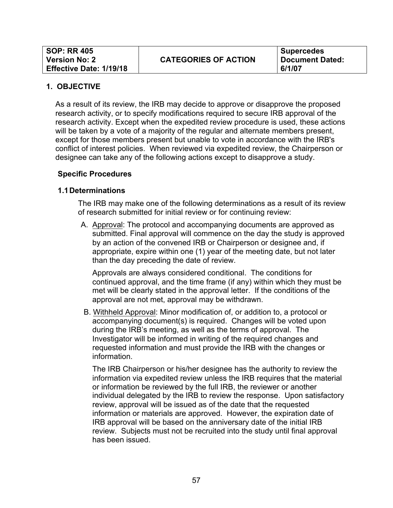**Supercedes Document Dated: 6/1/07**

#### **1. OBJECTIVE**

As a result of its review, the IRB may decide to approve or disapprove the proposed research activity, or to specify modifications required to secure IRB approval of the research activity. Except when the expedited review procedure is used, these actions will be taken by a vote of a majority of the regular and alternate members present, except for those members present but unable to vote in accordance with the IRB's conflict of interest policies. When reviewed via expedited review, the Chairperson or designee can take any of the following actions except to disapprove a study.

#### **Specific Procedures**

#### **1.1Determinations**

The IRB may make one of the following determinations as a result of its review of research submitted for initial review or for continuing review:

A. Approval: The protocol and accompanying documents are approved as submitted. Final approval will commence on the day the study is approved by an action of the convened IRB or Chairperson or designee and, if appropriate, expire within one (1) year of the meeting date, but not later than the day preceding the date of review.

Approvals are always considered conditional. The conditions for continued approval, and the time frame (if any) within which they must be met will be clearly stated in the approval letter. If the conditions of the approval are not met, approval may be withdrawn.

B. Withheld Approval: Minor modification of, or addition to, a protocol or accompanying document(s) is required. Changes will be voted upon during the IRB's meeting, as well as the terms of approval. The Investigator will be informed in writing of the required changes and requested information and must provide the IRB with the changes or information.

The IRB Chairperson or his/her designee has the authority to review the information via expedited review unless the IRB requires that the material or information be reviewed by the full IRB, the reviewer or another individual delegated by the IRB to review the response. Upon satisfactory review, approval will be issued as of the date that the requested information or materials are approved. However, the expiration date of IRB approval will be based on the anniversary date of the initial IRB review. Subjects must not be recruited into the study until final approval has been issued.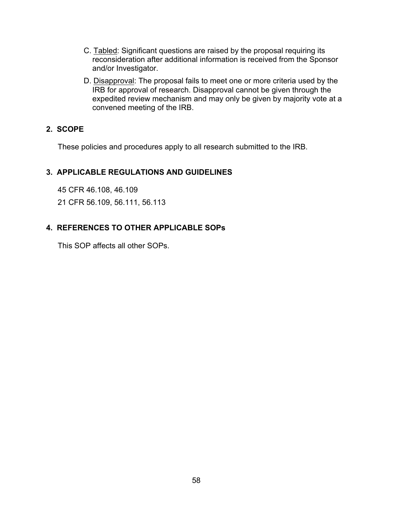- C. Tabled: Significant questions are raised by the proposal requiring its reconsideration after additional information is received from the Sponsor and/or Investigator.
- D. Disapproval: The proposal fails to meet one or more criteria used by the **IRB for approval of research. Disapproval cannot be given through the** expedited review mechanism and may only be given by majority vote at a convened meeting of the IRB.

# **2. SCOPE**

These policies and procedures apply to all research submitted to the IRB.

# **3. APPLICABLE REGULATIONS AND GUIDELINES**

45 CFR 46.108, 46.109

21 CFR 56.109, 56.111, 56.113

# **4. REFERENCES TO OTHER APPLICABLE SOPs**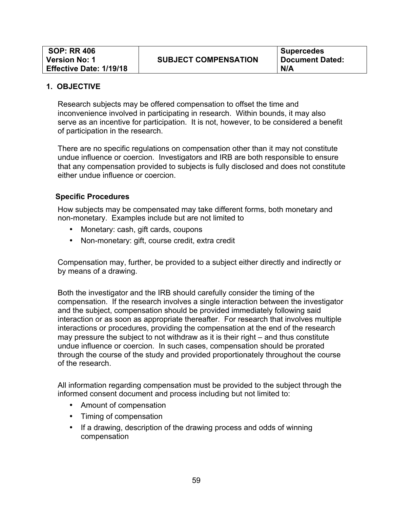Research subjects may be offered compensation to offset the time and inconvenience involved in participating in research. Within bounds, it may also serve as an incentive for participation. It is not, however, to be considered a benefit of participation in the research.

There are no specific regulations on compensation other than it may not constitute undue influence or coercion. Investigators and IRB are both responsible to ensure that any compensation provided to subjects is fully disclosed and does not constitute either undue influence or coercion.

#### **Specific Procedures**

How subjects may be compensated may take different forms, both monetary and non-monetary. Examples include but are not limited to

- Monetary: cash, gift cards, coupons
- Non-monetary: gift, course credit, extra credit

Compensation may, further, be provided to a subject either directly and indirectly or by means of a drawing.

Both the investigator and the IRB should carefully consider the timing of the compensation. If the research involves a single interaction between the investigator and the subject, compensation should be provided immediately following said interaction or as soon as appropriate thereafter. For research that involves multiple interactions or procedures, providing the compensation at the end of the research may pressure the subject to not withdraw as it is their right – and thus constitute undue influence or coercion. In such cases, compensation should be prorated through the course of the study and provided proportionately throughout the course of the research.

All information regarding compensation must be provided to the subject through the informed consent document and process including but not limited to:

- Amount of compensation
- Timing of compensation
- If a drawing, description of the drawing process and odds of winning compensation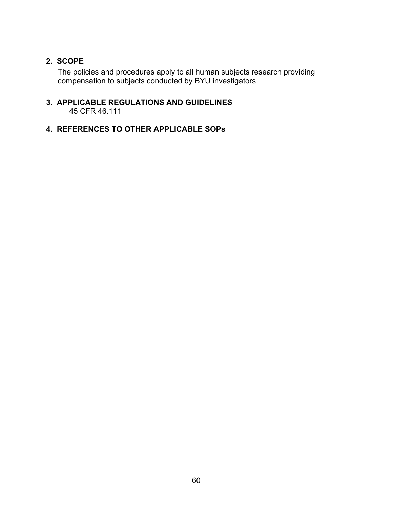# **2. SCOPE**

The policies and procedures apply to all human subjects research providing compensation to subjects conducted by BYU investigators

#### **3. APPLICABLE REGULATIONS AND GUIDELINES** 45 CFR 46.111

# **4. REFERENCES TO OTHER APPLICABLE SOPs**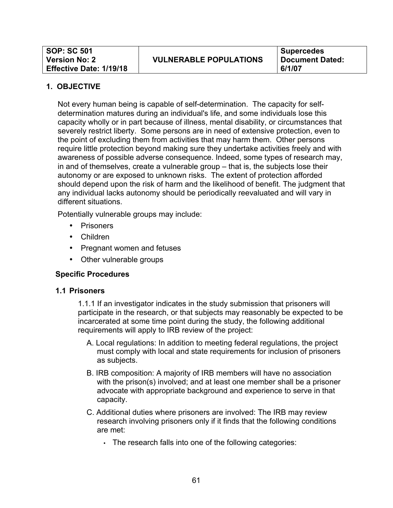Not every human being is capable of self-determination. The capacity for selfdetermination matures during an individual's life, and some individuals lose this capacity wholly or in part because of illness, mental disability, or circumstances that severely restrict liberty. Some persons are in need of extensive protection, even to the point of excluding them from activities that may harm them. Other persons require little protection beyond making sure they undertake activities freely and with awareness of possible adverse consequence. Indeed, some types of research may, in and of themselves, create a vulnerable group – that is, the subjects lose their autonomy or are exposed to unknown risks. The extent of protection afforded should depend upon the risk of harm and the likelihood of benefit. The judgment that any individual lacks autonomy should be periodically reevaluated and will vary in different situations.

Potentially vulnerable groups may include:

- Prisoners
- Children
- Pregnant women and fetuses
- Other vulnerable groups

# **Specific Procedures**

#### **1.1 Prisoners**

1.1.1 If an investigator indicates in the study submission that prisoners will participate in the research, or that subjects may reasonably be expected to be incarcerated at some time point during the study, the following additional requirements will apply to IRB review of the project:

- A. Local regulations: In addition to meeting federal regulations, the project must comply with local and state requirements for inclusion of prisoners as subjects.
- B. IRB composition: A majority of IRB members will have no association with the prison(s) involved; and at least one member shall be a prisoner advocate with appropriate background and experience to serve in that capacity.
- C. Additional duties where prisoners are involved: The IRB may review research involving prisoners only if it finds that the following conditions are met:
	- The research falls into one of the following categories: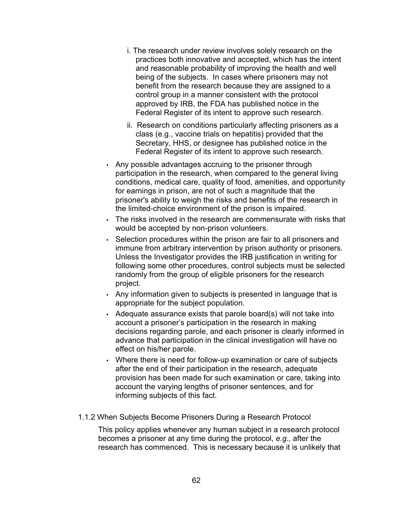- i. The research under review involves solely research on the practices both innovative and accepted, which has the intent and reasonable probability of improving the health and well being of the subjects. In cases where prisoners may not benefit from the research because they are assigned to a control group in a manner consistent with the protocol approved by IRB, the FDA has published notice in the Federal Register of its intent to approve such research.
- ii. Research on conditions particularly affecting prisoners as a class (e.g., vaccine trials on hepatitis) provided that the Secretary, HHS, or designee has published notice in the Federal Register of its intent to approve such research.
- Any possible advantages accruing to the prisoner through participation in the research, when compared to the general living conditions, medical care, quality of food, amenities, and opportunity for earnings in prison, are not of such a magnitude that the prisoner's ability to weigh the risks and benefits of the research in the limited-choice environment of the prison is impaired.
- The risks involved in the research are commensurate with risks that would be accepted by non-prison volunteers.
- Selection procedures within the prison are fair to all prisoners and immune from arbitrary intervention by prison authority or prisoners. Unless the Investigator provides the IRB justification in writing for following some other procedures, control subjects must be selected randomly from the group of eligible prisoners for the research project.
- Any information given to subjects is presented in language that is appropriate for the subject population.
- Adequate assurance exists that parole board(s) will not take into account a prisoner's participation in the research in making decisions regarding parole, and each prisoner is clearly informed in advance that participation in the clinical investigation will have no effect on his/her parole.
- Where there is need for follow-up examination or care of subjects after the end of their participation in the research, adequate provision has been made for such examination or care, taking into account the varying lengths of prisoner sentences, and for informing subjects of this fact.
- 1.1.2 When Subjects Become Prisoners During a Research Protocol

This policy applies whenever any human subject in a research protocol becomes a prisoner at any time during the protocol, *e.g.,* after the research has commenced. This is necessary because it is unlikely that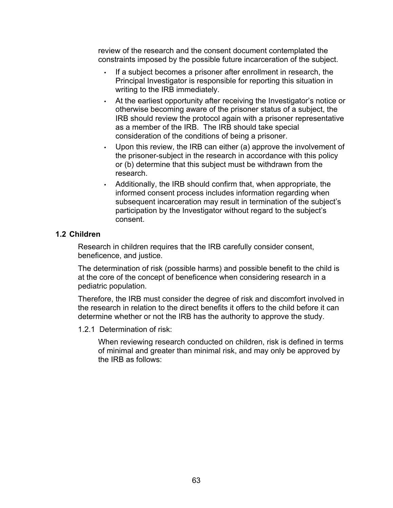review of the research and the consent document contemplated the constraints imposed by the possible future incarceration of the subject.

- If a subject becomes a prisoner after enrollment in research, the Principal Investigator is responsible for reporting this situation in writing to the IRB immediately.
- At the earliest opportunity after receiving the Investigator's notice or otherwise becoming aware of the prisoner status of a subject, the IRB should review the protocol again with a prisoner representative as a member of the IRB. The IRB should take special consideration of the conditions of being a prisoner.
- Upon this review, the IRB can either (a) approve the involvement of the prisoner-subject in the research in accordance with this policy or (b) determine that this subject must be withdrawn from the research.
- Additionally, the IRB should confirm that, when appropriate, the informed consent process includes information regarding when subsequent incarceration may result in termination of the subject's participation by the Investigator without regard to the subject's consent.

## **1.2 Children**

Research in children requires that the IRB carefully consider consent, beneficence, and justice.

The determination of risk (possible harms) and possible benefit to the child is at the core of the concept of beneficence when considering research in a pediatric population.

Therefore, the IRB must consider the degree of risk and discomfort involved in the research in relation to the direct benefits it offers to the child before it can determine whether or not the IRB has the authority to approve the study.

1.2.1 Determination of risk:

When reviewing research conducted on children, risk is defined in terms of minimal and greater than minimal risk, and may only be approved by the IRB as follows: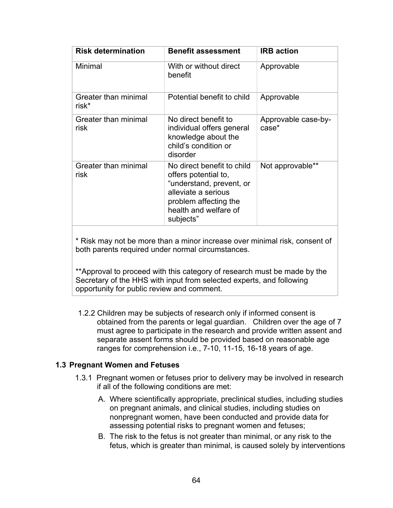| <b>Risk determination</b>     | <b>Benefit assessment</b>                                                                                                                                            | <b>IRB</b> action            |
|-------------------------------|----------------------------------------------------------------------------------------------------------------------------------------------------------------------|------------------------------|
| Minimal                       | With or without direct<br>benefit                                                                                                                                    | Approvable                   |
| Greater than minimal<br>risk* | Potential benefit to child                                                                                                                                           | Approvable                   |
| Greater than minimal<br>risk  | No direct benefit to<br>individual offers general<br>knowledge about the<br>child's condition or<br>disorder                                                         | Approvable case-by-<br>case* |
| Greater than minimal<br>risk  | No direct benefit to child<br>offers potential to,<br>"understand, prevent, or<br>alleviate a serious<br>problem affecting the<br>health and welfare of<br>subjects" | Not approvable**             |

\* Risk may not be more than a minor increase over minimal risk, consent of both parents required under normal circumstances.

\*\*Approval to proceed with this category of research must be made by the Secretary of the HHS with input from selected experts, and following opportunity for public review and comment.

1.2.2 Children may be subjects of research only if informed consent is obtained from the parents or legal guardian. Children over the age of 7 must agree to participate in the research and provide written assent and separate assent forms should be provided based on reasonable age ranges for comprehension i.e., 7-10, 11-15, 16-18 years of age.

#### **1.3 Pregnant Women and Fetuses**

- 1.3.1 Pregnant women or fetuses prior to delivery may be involved in research if all of the following conditions are met:
	- A. Where scientifically appropriate, preclinical studies, including studies on pregnant animals, and clinical studies, including studies on nonpregnant women, have been conducted and provide data for assessing potential risks to pregnant women and fetuses;
	- B. The risk to the fetus is not greater than minimal, or any risk to the fetus, which is greater than minimal, is caused solely by interventions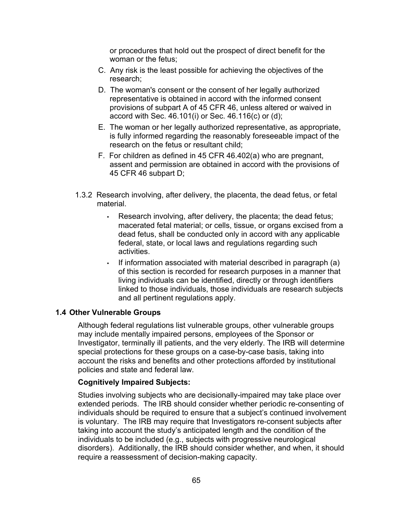or procedures that hold out the prospect of direct benefit for the woman or the fetus;

- C. Any risk is the least possible for achieving the objectives of the research;
- D. The woman's consent or the consent of her legally authorized representative is obtained in accord with the informed consent provisions of subpart A of 45 CFR 46, unless altered or waived in accord with Sec. 46.101(i) or Sec. 46.116(c) or (d);
- E. The woman or her legally authorized representative, as appropriate, is fully informed regarding the reasonably foreseeable impact of the research on the fetus or resultant child;
- F. For children as defined in 45 CFR 46.402(a) who are pregnant, assent and permission are obtained in accord with the provisions of 45 CFR 46 subpart D;
- 1.3.2 Research involving, after delivery, the placenta, the dead fetus, or fetal material.
	- Research involving, after delivery, the placenta; the dead fetus; macerated fetal material; or cells, tissue, or organs excised from a dead fetus, shall be conducted only in accord with any applicable federal, state, or local laws and regulations regarding such activities.
	- If information associated with material described in paragraph (a) of this section is recorded for research purposes in a manner that living individuals can be identified, directly or through identifiers linked to those individuals, those individuals are research subjects and all pertinent regulations apply.

# **1.4 Other Vulnerable Groups**

Although federal regulations list vulnerable groups, other vulnerable groups may include mentally impaired persons, employees of the Sponsor or Investigator, terminally ill patients, and the very elderly. The IRB will determine special protections for these groups on a case-by-case basis, taking into account the risks and benefits and other protections afforded by institutional policies and state and federal law.

#### **Cognitively Impaired Subjects:**

Studies involving subjects who are decisionally-impaired may take place over extended periods. The IRB should consider whether periodic re-consenting of individuals should be required to ensure that a subject's continued involvement is voluntary. The IRB may require that Investigators re-consent subjects after taking into account the study's anticipated length and the condition of the individuals to be included (e.g., subjects with progressive neurological disorders). Additionally, the IRB should consider whether, and when, it should require a reassessment of decision-making capacity.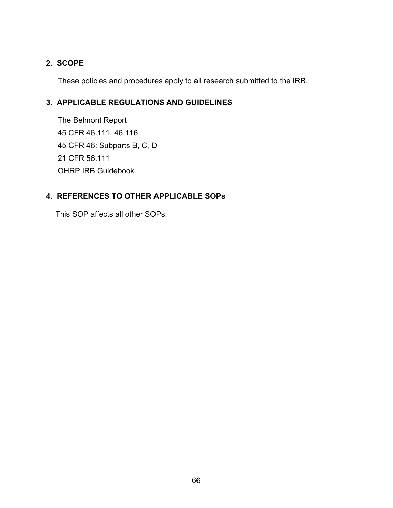# **2. SCOPE**

These policies and procedures apply to all research submitted to the IRB.

# **3. APPLICABLE REGULATIONS AND GUIDELINES**

The Belmont Report 45 CFR 46.111, 46.116 45 CFR 46: Subparts B, C, D 21 CFR 56.111 OHRP IRB Guidebook

# **4. REFERENCES TO OTHER APPLICABLE SOPs**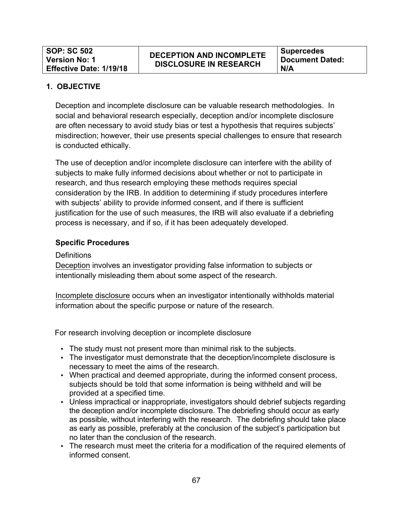Deception and incomplete disclosure can be valuable research methodologies. In social and behavioral research especially, deception and/or incomplete disclosure are often necessary to avoid study bias or test a hypothesis that requires subjects' misdirection; however, their use presents special challenges to ensure that research is conducted ethically.

The use of deception and/or incomplete disclosure can interfere with the ability of subjects to make fully informed decisions about whether or not to participate in research, and thus research employing these methods requires special consideration by the IRB. In addition to determining if study procedures interfere with subjects' ability to provide informed consent, and if there is sufficient justification for the use of such measures, the IRB will also evaluate if a debriefing process is necessary, and if so, if it has been adequately developed.

# **Specific Procedures**

#### **Definitions**

Deception involves an investigator providing false information to subjects or intentionally misleading them about some aspect of the research.

Incomplete disclosure occurs when an investigator intentionally withholds material information about the specific purpose or nature of the research.

For research involving deception or incomplete disclosure

- The study must not present more than minimal risk to the subjects.
- The investigator must demonstrate that the deception/incomplete disclosure is necessary to meet the aims of the research.
- When practical and deemed appropriate, during the informed consent process, subjects should be told that some information is being withheld and will be provided at a specified time.
- Unless impractical or inappropriate, investigators should debrief subjects regarding the deception and/or incomplete disclosure. The debriefing should occur as early as possible, without interfering with the research. The debriefing should take place as early as possible, preferably at the conclusion of the subject's participation but no later than the conclusion of the research.
- The research must meet the criteria for a modification of the required elements of informed consent.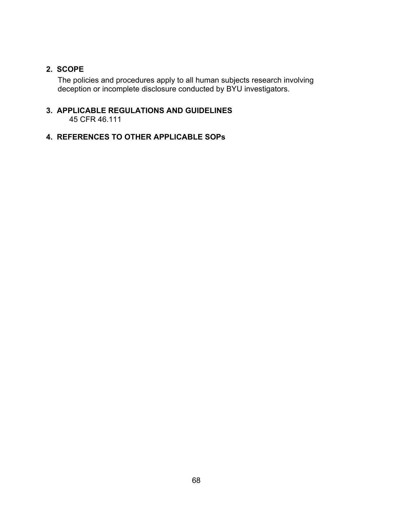# **2. SCOPE**

The policies and procedures apply to all human subjects research involving deception or incomplete disclosure conducted by BYU investigators.

#### **3. APPLICABLE REGULATIONS AND GUIDELINES** 45 CFR 46.111

# **4. REFERENCES TO OTHER APPLICABLE SOPs**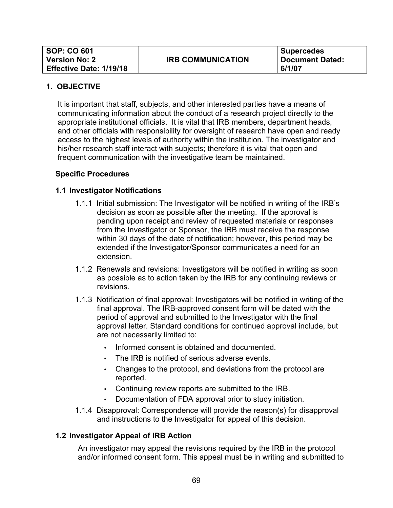It is important that staff, subjects, and other interested parties have a means of communicating information about the conduct of a research project directly to the appropriate institutional officials. It is vital that IRB members, department heads, and other officials with responsibility for oversight of research have open and ready access to the highest levels of authority within the institution. The investigator and his/her research staff interact with subjects; therefore it is vital that open and frequent communication with the investigative team be maintained.

## **Specific Procedures**

## **1.1 Investigator Notifications**

- 1.1.1 Initial submission: The Investigator will be notified in writing of the IRB's decision as soon as possible after the meeting. If the approval is pending upon receipt and review of requested materials or responses from the Investigator or Sponsor, the IRB must receive the response within 30 days of the date of notification; however, this period may be extended if the Investigator/Sponsor communicates a need for an extension.
- 1.1.2 Renewals and revisions: Investigators will be notified in writing as soon as possible as to action taken by the IRB for any continuing reviews or revisions.
- 1.1.3 Notification of final approval: Investigators will be notified in writing of the final approval. The IRB-approved consent form will be dated with the period of approval and submitted to the Investigator with the final approval letter. Standard conditions for continued approval include, but are not necessarily limited to:
	- Informed consent is obtained and documented.
	- The IRB is notified of serious adverse events.
	- Changes to the protocol, and deviations from the protocol are reported.
	- Continuing review reports are submitted to the IRB.
	- Documentation of FDA approval prior to study initiation.
- 1.1.4 Disapproval: Correspondence will provide the reason(s) for disapproval and instructions to the Investigator for appeal of this decision.

# **1.2 Investigator Appeal of IRB Action**

An investigator may appeal the revisions required by the IRB in the protocol and/or informed consent form. This appeal must be in writing and submitted to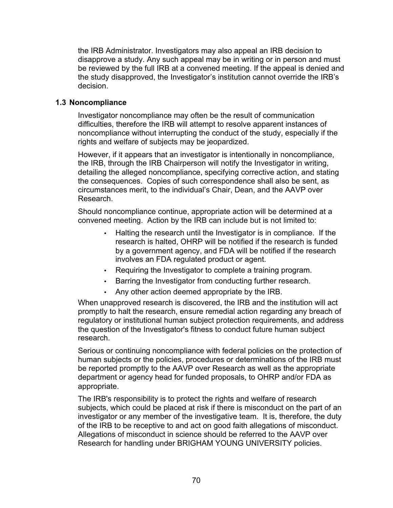the IRB Administrator. Investigators may also appeal an IRB decision to disapprove a study. Any such appeal may be in writing or in person and must be reviewed by the full IRB at a convened meeting. If the appeal is denied and the study disapproved, the Investigator's institution cannot override the IRB's decision.

## **1.3 Noncompliance**

Investigator noncompliance may often be the result of communication difficulties, therefore the IRB will attempt to resolve apparent instances of noncompliance without interrupting the conduct of the study, especially if the rights and welfare of subjects may be jeopardized.

However, if it appears that an investigator is intentionally in noncompliance, the IRB, through the IRB Chairperson will notify the Investigator in writing, detailing the alleged noncompliance, specifying corrective action, and stating the consequences. Copies of such correspondence shall also be sent, as circumstances merit, to the individual's Chair, Dean, and the AAVP over Research.

Should noncompliance continue, appropriate action will be determined at a convened meeting. Action by the IRB can include but is not limited to:

- Halting the research until the Investigator is in compliance. If the research is halted, OHRP will be notified if the research is funded by a government agency, and FDA will be notified if the research involves an FDA regulated product or agent.
- Requiring the Investigator to complete a training program.
- Barring the Investigator from conducting further research.
- Any other action deemed appropriate by the IRB.

When unapproved research is discovered, the IRB and the institution will act promptly to halt the research, ensure remedial action regarding any breach of regulatory or institutional human subject protection requirements, and address the question of the Investigator's fitness to conduct future human subject research.

Serious or continuing noncompliance with federal policies on the protection of human subjects or the policies, procedures or determinations of the IRB must be reported promptly to the AAVP over Research as well as the appropriate department or agency head for funded proposals, to OHRP and/or FDA as appropriate.

The IRB's responsibility is to protect the rights and welfare of research subjects, which could be placed at risk if there is misconduct on the part of an investigator or any member of the investigative team. It is, therefore, the duty of the IRB to be receptive to and act on good faith allegations of misconduct. Allegations of misconduct in science should be referred to the AAVP over Research for handling under BRIGHAM YOUNG UNIVERSITY policies.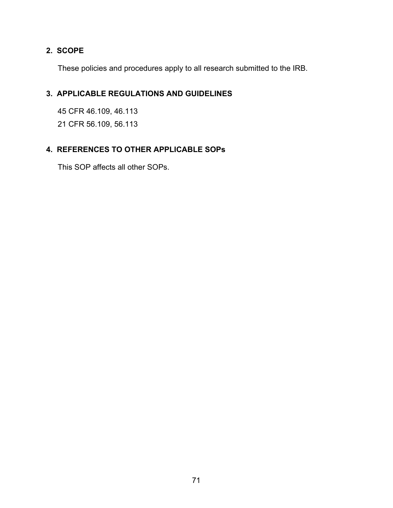# **2. SCOPE**

These policies and procedures apply to all research submitted to the IRB.

# **3. APPLICABLE REGULATIONS AND GUIDELINES**

45 CFR 46.109, 46.113 21 CFR 56.109, 56.113

# **4. REFERENCES TO OTHER APPLICABLE SOPs**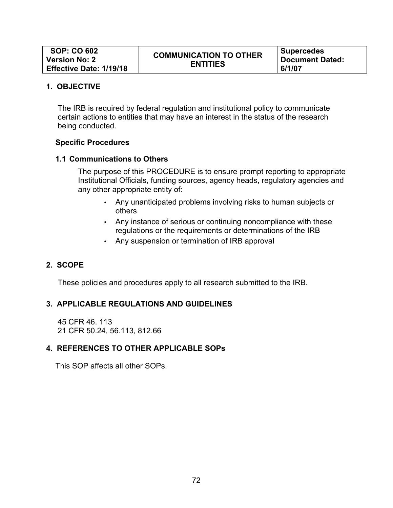The IRB is required by federal regulation and institutional policy to communicate certain actions to entities that may have an interest in the status of the research being conducted.

## **Specific Procedures**

## **1.1 Communications to Others**

The purpose of this PROCEDURE is to ensure prompt reporting to appropriate Institutional Officials, funding sources, agency heads, regulatory agencies and any other appropriate entity of:

- Any unanticipated problems involving risks to human subjects or others
- Any instance of serious or continuing noncompliance with these regulations or the requirements or determinations of the IRB
- Any suspension or termination of IRB approval

# **2. SCOPE**

These policies and procedures apply to all research submitted to the IRB.

# **3. APPLICABLE REGULATIONS AND GUIDELINES**

45 CFR 46. 113 21 CFR 50.24, 56.113, 812.66

# **4. REFERENCES TO OTHER APPLICABLE SOPs**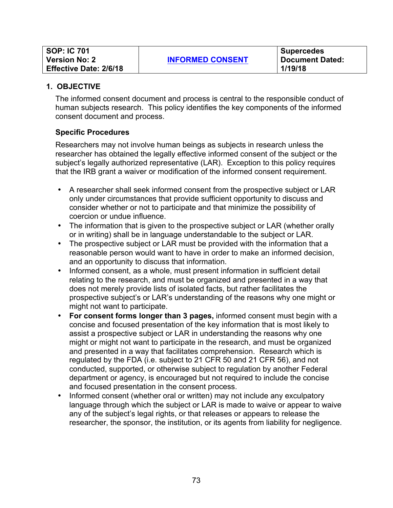| <b>SOP: IC 701</b>            |                         | <b>Supercedes</b>      |
|-------------------------------|-------------------------|------------------------|
| <b>Version No: 2</b>          | <b>INFORMED CONSENT</b> | <b>Document Dated:</b> |
| <b>Effective Date: 2/6/18</b> |                         | 1/19/18                |

The informed consent document and process is central to the responsible conduct of human subjects research. This policy identifies the key components of the informed consent document and process.

## **Specific Procedures**

Researchers may not involve human beings as subjects in research unless the researcher has obtained the legally effective informed consent of the subject or the subject's legally authorized representative (LAR). Exception to this policy requires that the IRB grant a waiver or modification of the informed consent requirement.

- A researcher shall seek informed consent from the prospective subject or LAR only under circumstances that provide sufficient opportunity to discuss and consider whether or not to participate and that minimize the possibility of coercion or undue influence.
- The information that is given to the prospective subject or LAR (whether orally or in writing) shall be in language understandable to the subject or LAR.
- The prospective subject or LAR must be provided with the information that a reasonable person would want to have in order to make an informed decision, and an opportunity to discuss that information.
- Informed consent, as a whole, must present information in sufficient detail relating to the research, and must be organized and presented in a way that does not merely provide lists of isolated facts, but rather facilitates the prospective subject's or LAR's understanding of the reasons why one might or might not want to participate.
- **For consent forms longer than 3 pages,** informed consent must begin with a concise and focused presentation of the key information that is most likely to assist a prospective subject or LAR in understanding the reasons why one might or might not want to participate in the research, and must be organized and presented in a way that facilitates comprehension. Research which is regulated by the FDA (i.e. subject to 21 CFR 50 and 21 CFR 56), and not conducted, supported, or otherwise subject to regulation by another Federal department or agency, is encouraged but not required to include the concise and focused presentation in the consent process.
- Informed consent (whether oral or written) may not include any exculpatory language through which the subject or LAR is made to waive or appear to waive any of the subject's legal rights, or that releases or appears to release the researcher, the sponsor, the institution, or its agents from liability for negligence.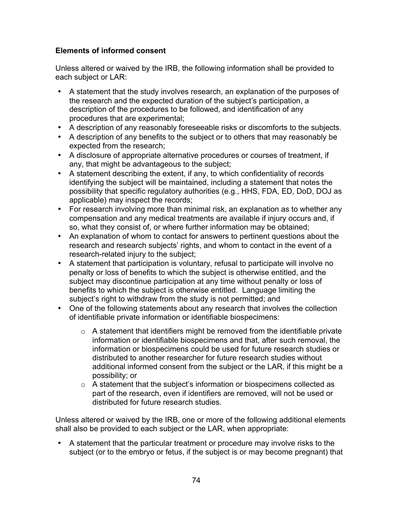# **Elements of informed consent**

Unless altered or waived by the IRB, the following information shall be provided to each subject or LAR:

- A statement that the study involves research, an explanation of the purposes of the research and the expected duration of the subject's participation, a description of the procedures to be followed, and identification of any procedures that are experimental;
- A description of any reasonably foreseeable risks or discomforts to the subjects.
- A description of any benefits to the subject or to others that may reasonably be expected from the research;
- A disclosure of appropriate alternative procedures or courses of treatment, if any, that might be advantageous to the subject;
- A statement describing the extent, if any, to which confidentiality of records identifying the subject will be maintained, including a statement that notes the possibility that specific regulatory authorities (e.g., HHS, FDA, ED, DoD, DOJ as applicable) may inspect the records;
- For research involving more than minimal risk, an explanation as to whether any compensation and any medical treatments are available if injury occurs and, if so, what they consist of, or where further information may be obtained;
- An explanation of whom to contact for answers to pertinent questions about the research and research subjects' rights, and whom to contact in the event of a research-related injury to the subject;
- A statement that participation is voluntary, refusal to participate will involve no penalty or loss of benefits to which the subject is otherwise entitled, and the subject may discontinue participation at any time without penalty or loss of benefits to which the subject is otherwise entitled. Language limiting the subject's right to withdraw from the study is not permitted; and
- One of the following statements about any research that involves the collection of identifiable private information or identifiable biospecimens:
	- $\circ$  A statement that identifiers might be removed from the identifiable private information or identifiable biospecimens and that, after such removal, the information or biospecimens could be used for future research studies or distributed to another researcher for future research studies without additional informed consent from the subject or the LAR, if this might be a possibility; or
	- o A statement that the subject's information or biospecimens collected as part of the research, even if identifiers are removed, will not be used or distributed for future research studies.

Unless altered or waived by the IRB, one or more of the following additional elements shall also be provided to each subject or the LAR, when appropriate:

• A statement that the particular treatment or procedure may involve risks to the subject (or to the embryo or fetus, if the subject is or may become pregnant) that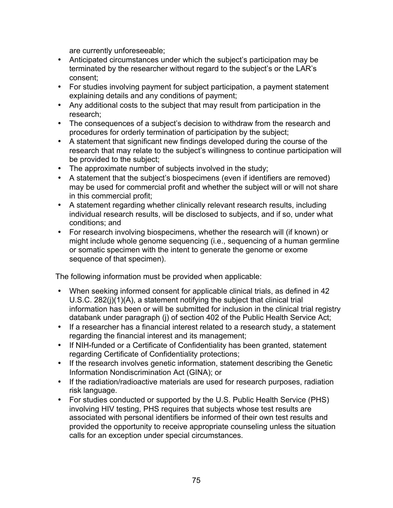are currently unforeseeable;

- Anticipated circumstances under which the subject's participation may be terminated by the researcher without regard to the subject's or the LAR's consent;
- For studies involving payment for subject participation, a payment statement explaining details and any conditions of payment;
- Any additional costs to the subject that may result from participation in the research;
- The consequences of a subject's decision to withdraw from the research and procedures for orderly termination of participation by the subject;
- A statement that significant new findings developed during the course of the research that may relate to the subject's willingness to continue participation will be provided to the subject;
- The approximate number of subjects involved in the study;
- A statement that the subject's biospecimens (even if identifiers are removed) may be used for commercial profit and whether the subject will or will not share in this commercial profit;
- A statement regarding whether clinically relevant research results, including individual research results, will be disclosed to subjects, and if so, under what conditions; and
- For research involving biospecimens, whether the research will (if known) or might include whole genome sequencing (i.e., sequencing of a human germline or somatic specimen with the intent to generate the genome or exome sequence of that specimen).

The following information must be provided when applicable:

- When seeking informed consent for applicable clinical trials, as defined in 42 U.S.C. 282(j)(1)(A), a statement notifying the subject that clinical trial information has been or will be submitted for inclusion in the clinical trial registry databank under paragraph (j) of section 402 of the Public Health Service Act;
- If a researcher has a financial interest related to a research study, a statement regarding the financial interest and its management;
- If NIH-funded or a Certificate of Confidentiality has been granted, statement regarding Certificate of Confidentiality protections;
- If the research involves genetic information, statement describing the Genetic Information Nondiscrimination Act (GINA); or
- If the radiation/radioactive materials are used for research purposes, radiation risk language.
- For studies conducted or supported by the U.S. Public Health Service (PHS) involving HIV testing, PHS requires that subjects whose test results are associated with personal identifiers be informed of their own test results and provided the opportunity to receive appropriate counseling unless the situation calls for an exception under special circumstances.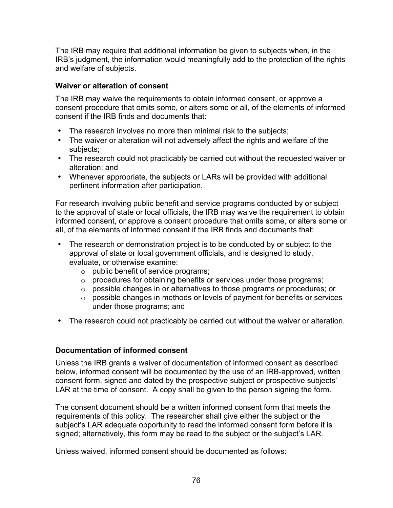The IRB may require that additional information be given to subjects when, in the IRB's judgment, the information would meaningfully add to the protection of the rights and welfare of subjects.

## **Waiver or alteration of consent**

The IRB may waive the requirements to obtain informed consent, or approve a consent procedure that omits some, or alters some or all, of the elements of informed consent if the IRB finds and documents that:

- The research involves no more than minimal risk to the subjects;
- The waiver or alteration will not adversely affect the rights and welfare of the subjects;
- The research could not practicably be carried out without the requested waiver or alteration; and
- Whenever appropriate, the subjects or LARs will be provided with additional pertinent information after participation.

For research involving public benefit and service programs conducted by or subject to the approval of state or local officials, the IRB may waive the requirement to obtain informed consent, or approve a consent procedure that omits some, or alters some or all, of the elements of informed consent if the IRB finds and documents that:

- The research or demonstration project is to be conducted by or subject to the approval of state or local government officials, and is designed to study, evaluate, or otherwise examine:
	- o public benefit of service programs;
	- o procedures for obtaining benefits or services under those programs;
	- o possible changes in or alternatives to those programs or procedures; or
	- $\circ$  possible changes in methods or levels of payment for benefits or services under those programs; and
- The research could not practicably be carried out without the waiver or alteration.

## **Documentation of informed consent**

Unless the IRB grants a waiver of documentation of informed consent as described below, informed consent will be documented by the use of an IRB-approved, written consent form, signed and dated by the prospective subject or prospective subjects' LAR at the time of consent. A copy shall be given to the person signing the form.

The consent document should be a written informed consent form that meets the requirements of this policy. The researcher shall give either the subject or the subject's LAR adequate opportunity to read the informed consent form before it is signed; alternatively, this form may be read to the subject or the subject's LAR.

Unless waived, informed consent should be documented as follows: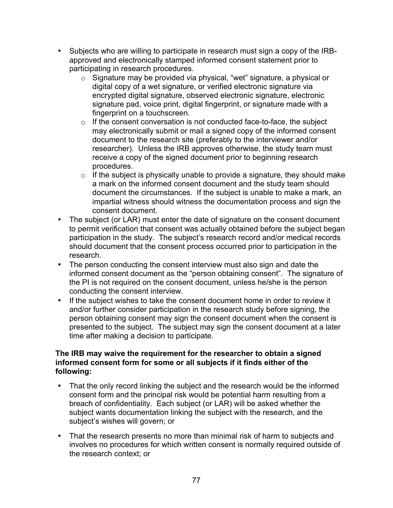- Subjects who are willing to participate in research must sign a copy of the IRBapproved and electronically stamped informed consent statement prior to participating in research procedures.
	- o Signature may be provided via physical, "wet" signature, a physical or digital copy of a wet signature, or verified electronic signature via encrypted digital signature, observed electronic signature, electronic signature pad, voice print, digital fingerprint, or signature made with a fingerprint on a touchscreen.
	- $\circ$  If the consent conversation is not conducted face-to-face, the subject may electronically submit or mail a signed copy of the informed consent document to the research site (preferably to the interviewer and/or researcher). Unless the IRB approves otherwise, the study team must receive a copy of the signed document prior to beginning research procedures.
	- $\circ$  If the subject is physically unable to provide a signature, they should make a mark on the informed consent document and the study team should document the circumstances. If the subject is unable to make a mark, an impartial witness should witness the documentation process and sign the consent document.
- The subject (or LAR) must enter the date of signature on the consent document to permit verification that consent was actually obtained before the subject began participation in the study. The subject's research record and/or medical records should document that the consent process occurred prior to participation in the research.
- The person conducting the consent interview must also sign and date the informed consent document as the "person obtaining consent". The signature of the PI is not required on the consent document, unless he/she is the person conducting the consent interview.
- If the subject wishes to take the consent document home in order to review it and/or further consider participation in the research study before signing, the person obtaining consent may sign the consent document when the consent is presented to the subject. The subject may sign the consent document at a later time after making a decision to participate.

## **The IRB may waive the requirement for the researcher to obtain a signed informed consent form for some or all subjects if it finds either of the following:**

- That the only record linking the subject and the research would be the informed consent form and the principal risk would be potential harm resulting from a breach of confidentiality. Each subject (or LAR) will be asked whether the subject wants documentation linking the subject with the research, and the subject's wishes will govern; or
- That the research presents no more than minimal risk of harm to subjects and involves no procedures for which written consent is normally required outside of the research context; or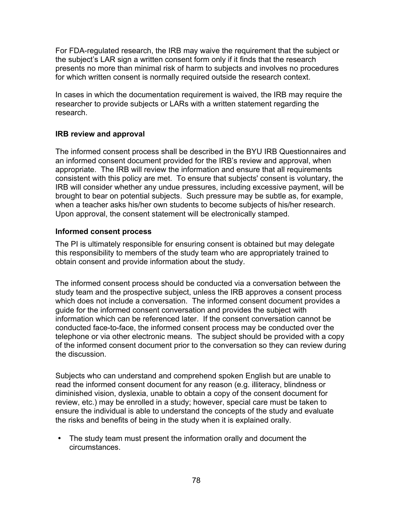For FDA-regulated research, the IRB may waive the requirement that the subject or the subject's LAR sign a written consent form only if it finds that the research presents no more than minimal risk of harm to subjects and involves no procedures for which written consent is normally required outside the research context.

In cases in which the documentation requirement is waived, the IRB may require the researcher to provide subjects or LARs with a written statement regarding the research.

## **IRB review and approval**

The informed consent process shall be described in the BYU IRB Questionnaires and an informed consent document provided for the IRB's review and approval, when appropriate. The IRB will review the information and ensure that all requirements consistent with this policy are met. To ensure that subjects' consent is voluntary, the IRB will consider whether any undue pressures, including excessive payment, will be brought to bear on potential subjects. Such pressure may be subtle as, for example, when a teacher asks his/her own students to become subjects of his/her research. Upon approval, the consent statement will be electronically stamped.

#### **Informed consent process**

The PI is ultimately responsible for ensuring consent is obtained but may delegate this responsibility to members of the study team who are appropriately trained to obtain consent and provide information about the study.

The informed consent process should be conducted via a conversation between the study team and the prospective subject, unless the IRB approves a consent process which does not include a conversation. The informed consent document provides a guide for the informed consent conversation and provides the subject with information which can be referenced later. If the consent conversation cannot be conducted face-to-face, the informed consent process may be conducted over the telephone or via other electronic means. The subject should be provided with a copy of the informed consent document prior to the conversation so they can review during the discussion.

Subjects who can understand and comprehend spoken English but are unable to read the informed consent document for any reason (e.g. illiteracy, blindness or diminished vision, dyslexia, unable to obtain a copy of the consent document for review, etc.) may be enrolled in a study; however, special care must be taken to ensure the individual is able to understand the concepts of the study and evaluate the risks and benefits of being in the study when it is explained orally.

• The study team must present the information orally and document the circumstances.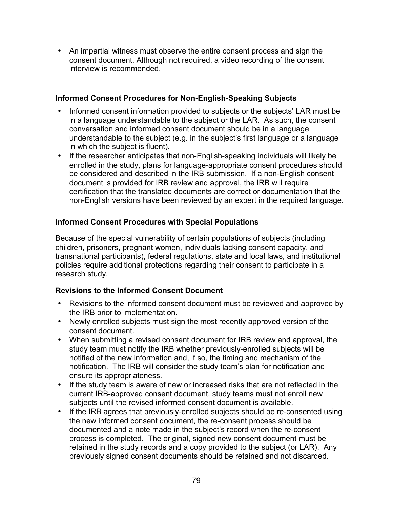• An impartial witness must observe the entire consent process and sign the consent document. Although not required, a video recording of the consent interview is recommended.

# **Informed Consent Procedures for Non-English-Speaking Subjects**

- Informed consent information provided to subjects or the subjects' LAR must be in a language understandable to the subject or the LAR. As such, the consent conversation and informed consent document should be in a language understandable to the subject (e.g. in the subject's first language or a language in which the subject is fluent).
- If the researcher anticipates that non-English-speaking individuals will likely be enrolled in the study, plans for language-appropriate consent procedures should be considered and described in the IRB submission. If a non-English consent document is provided for IRB review and approval, the IRB will require certification that the translated documents are correct or documentation that the non-English versions have been reviewed by an expert in the required language.

# **Informed Consent Procedures with Special Populations**

Because of the special vulnerability of certain populations of subjects (including children, prisoners, pregnant women, individuals lacking consent capacity, and transnational participants), federal regulations, state and local laws, and institutional policies require additional protections regarding their consent to participate in a research study.

# **Revisions to the Informed Consent Document**

- Revisions to the informed consent document must be reviewed and approved by the IRB prior to implementation.
- Newly enrolled subjects must sign the most recently approved version of the consent document.
- When submitting a revised consent document for IRB review and approval, the study team must notify the IRB whether previously-enrolled subjects will be notified of the new information and, if so, the timing and mechanism of the notification. The IRB will consider the study team's plan for notification and ensure its appropriateness.
- If the study team is aware of new or increased risks that are not reflected in the current IRB-approved consent document, study teams must not enroll new subjects until the revised informed consent document is available.
- If the IRB agrees that previously-enrolled subjects should be re-consented using the new informed consent document, the re-consent process should be documented and a note made in the subject's record when the re-consent process is completed. The original, signed new consent document must be retained in the study records and a copy provided to the subject (or LAR). Any previously signed consent documents should be retained and not discarded.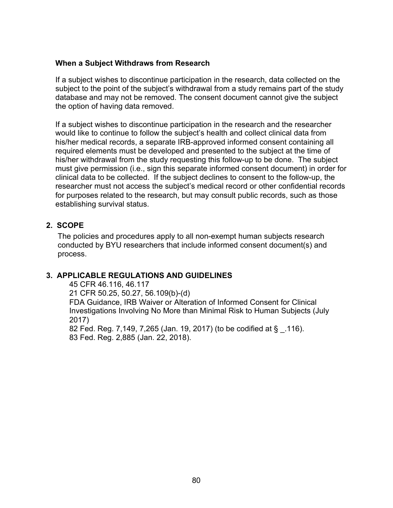#### **When a Subject Withdraws from Research**

If a subject wishes to discontinue participation in the research, data collected on the subject to the point of the subject's withdrawal from a study remains part of the study database and may not be removed. The consent document cannot give the subject the option of having data removed.

If a subject wishes to discontinue participation in the research and the researcher would like to continue to follow the subject's health and collect clinical data from his/her medical records, a separate IRB-approved informed consent containing all required elements must be developed and presented to the subject at the time of his/her withdrawal from the study requesting this follow-up to be done. The subject must give permission (i.e., sign this separate informed consent document) in order for clinical data to be collected. If the subject declines to consent to the follow-up, the researcher must not access the subject's medical record or other confidential records for purposes related to the research, but may consult public records, such as those establishing survival status.

#### **2. SCOPE**

The policies and procedures apply to all non-exempt human subjects research conducted by BYU researchers that include informed consent document(s) and process.

#### **3. APPLICABLE REGULATIONS AND GUIDELINES**

45 CFR 46.116, 46.117 21 CFR 50.25, 50.27, 56.109(b)-(d) FDA Guidance, IRB Waiver or Alteration of Informed Consent for Clinical Investigations Involving No More than Minimal Risk to Human Subjects (July 2017)

82 Fed. Reg. 7,149, 7,265 (Jan. 19, 2017) (to be codified at § \_.116). 83 Fed. Reg. 2,885 (Jan. 22, 2018).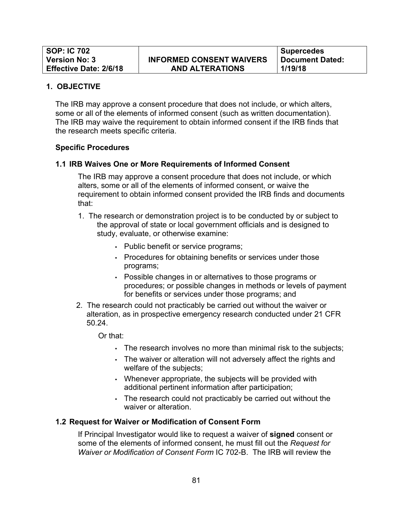The IRB may approve a consent procedure that does not include, or which alters, some or all of the elements of informed consent (such as written documentation). The IRB may waive the requirement to obtain informed consent if the IRB finds that the research meets specific criteria.

#### **Specific Procedures**

#### **1.1 IRB Waives One or More Requirements of Informed Consent**

The IRB may approve a consent procedure that does not include, or which alters, some or all of the elements of informed consent, or waive the requirement to obtain informed consent provided the IRB finds and documents that:

- 1. The research or demonstration project is to be conducted by or subject to the approval of state or local government officials and is designed to study, evaluate, or otherwise examine:
	- Public benefit or service programs;
	- Procedures for obtaining benefits or services under those programs;
	- Possible changes in or alternatives to those programs or procedures; or possible changes in methods or levels of payment for benefits or services under those programs; and
- 2. The research could not practicably be carried out without the waiver or alteration, as in prospective emergency research conducted under 21 CFR 50.24.

Or that:

- The research involves no more than minimal risk to the subjects;
- The waiver or alteration will not adversely affect the rights and welfare of the subjects;
- Whenever appropriate, the subjects will be provided with additional pertinent information after participation;
- The research could not practicably be carried out without the waiver or alteration.

#### **1.2 Request for Waiver or Modification of Consent Form**

If Principal Investigator would like to request a waiver of **signed** consent or some of the elements of informed consent, he must fill out the *Request for Waiver or Modification of Consent Form* IC 702-B. The IRB will review the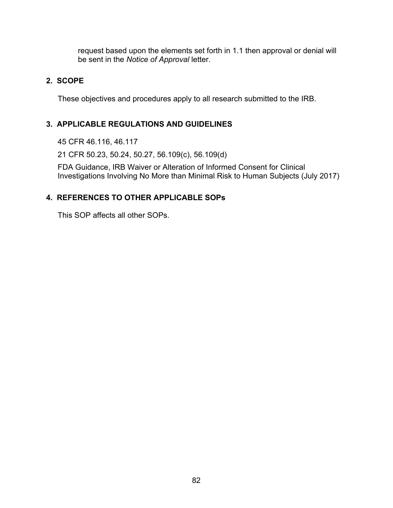request based upon the elements set forth in 1.1 then approval or denial will be sent in the *Notice of Approval* letter.

## **2. SCOPE**

These objectives and procedures apply to all research submitted to the IRB.

# **3. APPLICABLE REGULATIONS AND GUIDELINES**

45 CFR 46.116, 46.117

21 CFR 50.23, 50.24, 50.27, 56.109(c), 56.109(d)

FDA Guidance, IRB Waiver or Alteration of Informed Consent for Clinical Investigations Involving No More than Minimal Risk to Human Subjects (July 2017)

# **4. REFERENCES TO OTHER APPLICABLE SOPs**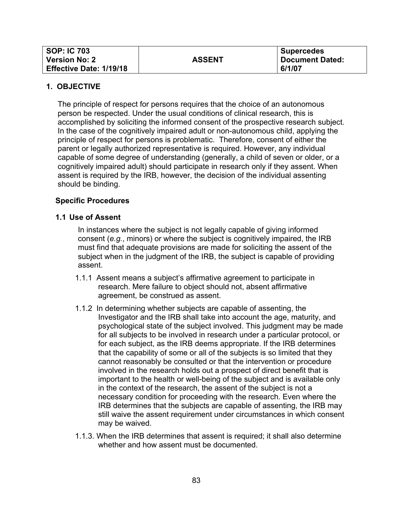| <b>SOP: IC 703</b>             |               | <b>Supercedes</b> |
|--------------------------------|---------------|-------------------|
| <b>Version No: 2</b>           | <b>ASSENT</b> | Document Dated:   |
| <b>Effective Date: 1/19/18</b> |               | 6/1/07            |

The principle of respect for persons requires that the choice of an autonomous person be respected. Under the usual conditions of clinical research, this is accomplished by soliciting the informed consent of the prospective research subject. In the case of the cognitively impaired adult or non-autonomous child, applying the principle of respect for persons is problematic. Therefore, consent of either the parent or legally authorized representative is required. However, any individual capable of some degree of understanding (generally, a child of seven or older, or a cognitively impaired adult) should participate in research only if they assent. When assent is required by the IRB, however, the decision of the individual assenting should be binding.

## **Specific Procedures**

#### **1.1 Use of Assent**

In instances where the subject is not legally capable of giving informed consent (*e.g.*, minors) or where the subject is cognitively impaired, the IRB must find that adequate provisions are made for soliciting the assent of the subject when in the judgment of the IRB, the subject is capable of providing assent.

- 1.1.1 Assent means a subject's affirmative agreement to participate in research. Mere failure to object should not, absent affirmative agreement, be construed as assent.
- 1.1.2 In determining whether subjects are capable of assenting, the Investigator and the IRB shall take into account the age, maturity, and psychological state of the subject involved. This judgment may be made for all subjects to be involved in research under a particular protocol, or for each subject, as the IRB deems appropriate. If the IRB determines that the capability of some or all of the subjects is so limited that they cannot reasonably be consulted or that the intervention or procedure involved in the research holds out a prospect of direct benefit that is important to the health or well-being of the subject and is available only in the context of the research, the assent of the subject is not a necessary condition for proceeding with the research. Even where the IRB determines that the subjects are capable of assenting, the IRB may still waive the assent requirement under circumstances in which consent may be waived.
- 1.1.3. When the IRB determines that assent is required; it shall also determine whether and how assent must be documented.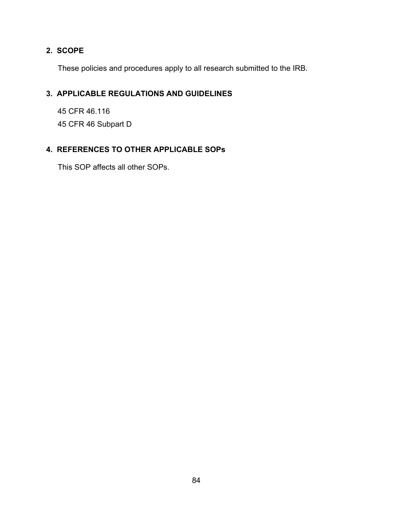# **2. SCOPE**

These policies and procedures apply to all research submitted to the IRB.

# **3. APPLICABLE REGULATIONS AND GUIDELINES**

45 CFR 46.116 45 CFR 46 Subpart D

# **4. REFERENCES TO OTHER APPLICABLE SOPs**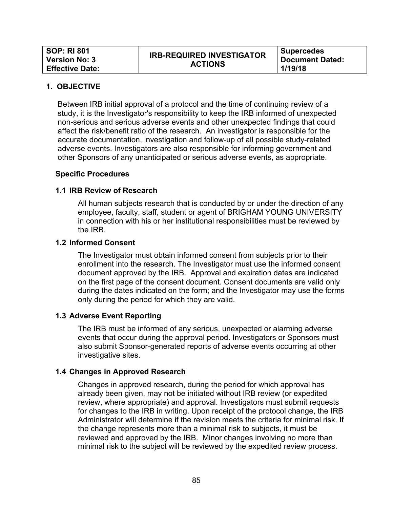| <b>SOP: RI 801</b>     | <b>IRB-REQUIRED INVESTIGATOR</b> | Supercedes             |
|------------------------|----------------------------------|------------------------|
| <b>Version No: 3</b>   | <b>ACTIONS</b>                   | <b>Document Dated:</b> |
| <b>Effective Date:</b> |                                  | 1/19/18                |

Between IRB initial approval of a protocol and the time of continuing review of a study, it is the Investigator's responsibility to keep the IRB informed of unexpected non-serious and serious adverse events and other unexpected findings that could affect the risk/benefit ratio of the research. An investigator is responsible for the accurate documentation, investigation and follow-up of all possible study-related adverse events. Investigators are also responsible for informing government and other Sponsors of any unanticipated or serious adverse events, as appropriate.

#### **Specific Procedures**

#### **1.1 IRB Review of Research**

All human subjects research that is conducted by or under the direction of any employee, faculty, staff, student or agent of BRIGHAM YOUNG UNIVERSITY in connection with his or her institutional responsibilities must be reviewed by the IRB.

#### **1.2 Informed Consent**

The Investigator must obtain informed consent from subjects prior to their enrollment into the research. The Investigator must use the informed consent document approved by the IRB. Approval and expiration dates are indicated on the first page of the consent document. Consent documents are valid only during the dates indicated on the form; and the Investigator may use the forms only during the period for which they are valid.

#### **1.3 Adverse Event Reporting**

The IRB must be informed of any serious, unexpected or alarming adverse events that occur during the approval period. Investigators or Sponsors must also submit Sponsor-generated reports of adverse events occurring at other investigative sites.

#### **1.4 Changes in Approved Research**

Changes in approved research, during the period for which approval has already been given, may not be initiated without IRB review (or expedited review, where appropriate) and approval. Investigators must submit requests for changes to the IRB in writing. Upon receipt of the protocol change, the IRB Administrator will determine if the revision meets the criteria for minimal risk. If the change represents more than a minimal risk to subjects, it must be reviewed and approved by the IRB. Minor changes involving no more than minimal risk to the subject will be reviewed by the expedited review process.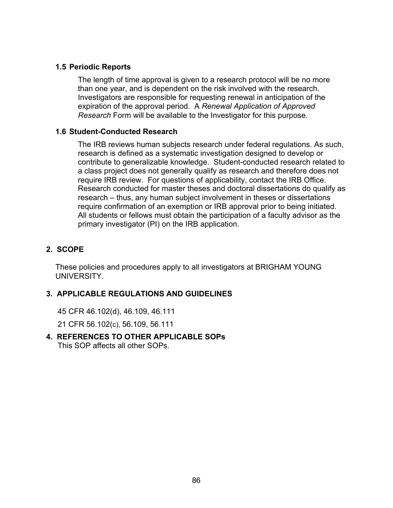## **1.5 Periodic Reports**

The length of time approval is given to a research protocol will be no more than one year, and is dependent on the risk involved with the research. Investigators are responsible for requesting renewal in anticipation of the expiration of the approval period. A *Renewal Application of Approved Research* Form will be available to the Investigator for this purpose.

#### **1.6 Student-Conducted Research**

The IRB reviews human subjects research under federal regulations. As such, research is defined as a systematic investigation designed to develop or contribute to generalizable knowledge. Student-conducted research related to a class project does not generally qualify as research and therefore does not require IRB review. For questions of applicability, contact the IRB Office. Research conducted for master theses and doctoral dissertations do qualify as research – thus, any human subject involvement in theses or dissertations require confirmation of an exemption or IRB approval prior to being initiated. All students or fellows must obtain the participation of a faculty advisor as the primary investigator (PI) on the IRB application.

#### **2. SCOPE**

These policies and procedures apply to all investigators at BRIGHAM YOUNG UNIVERSITY.

## **3. APPLICABLE REGULATIONS AND GUIDELINES**

45 CFR 46.102(d), 46.109, 46.111

21 CFR 56.102(c), 56.109, 56.111

# **4. REFERENCES TO OTHER APPLICABLE SOPs**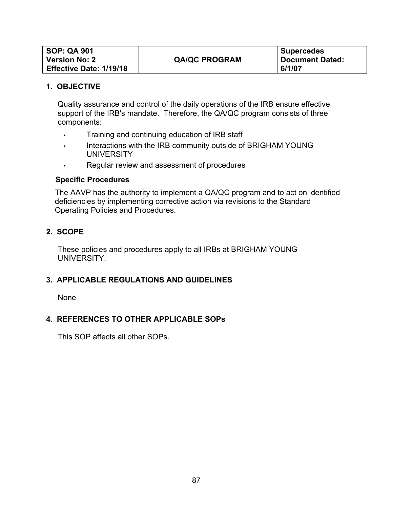| SOP: QA 901                    |                      | Supercedes      |
|--------------------------------|----------------------|-----------------|
| <b>Version No: 2</b>           | <b>QA/QC PROGRAM</b> | Document Dated: |
| <b>Effective Date: 1/19/18</b> |                      | 6/1/07          |

Quality assurance and control of the daily operations of the IRB ensure effective support of the IRB's mandate. Therefore, the QA/QC program consists of three components:

- Training and continuing education of IRB staff
- Interactions with the IRB community outside of BRIGHAM YOUNG **UNIVERSITY**
- Regular review and assessment of procedures

#### **Specific Procedures**

The AAVP has the authority to implement a QA/QC program and to act on identified deficiencies by implementing corrective action via revisions to the Standard Operating Policies and Procedures.

## **2. SCOPE**

These policies and procedures apply to all IRBs at BRIGHAM YOUNG **UNIVERSITY** 

## **3. APPLICABLE REGULATIONS AND GUIDELINES**

None

#### **4. REFERENCES TO OTHER APPLICABLE SOPs**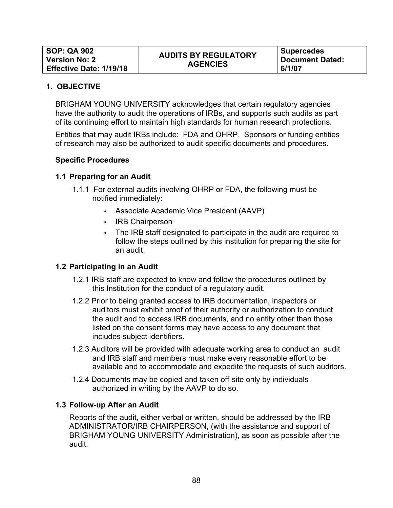BRIGHAM YOUNG UNIVERSITY acknowledges that certain regulatory agencies have the authority to audit the operations of IRBs, and supports such audits as part of its continuing effort to maintain high standards for human research protections.

Entities that may audit IRBs include: FDA and OHRP. Sponsors or funding entities of research may also be authorized to audit specific documents and procedures.

#### **Specific Procedures**

#### **1.1 Preparing for an Audit**

- 1.1.1 For external audits involving OHRP or FDA, the following must be notified immediately:
	- Associate Academic Vice President (AAVP)
	- IRB Chairperson
	- The IRB staff designated to participate in the audit are required to follow the steps outlined by this institution for preparing the site for an audit.

#### **1.2 Participating in an Audit**

- 1.2.1 IRB staff are expected to know and follow the procedures outlined by this Institution for the conduct of a regulatory audit.
- 1.2.2 Prior to being granted access to IRB documentation, inspectors or auditors must exhibit proof of their authority or authorization to conduct the audit and to access IRB documents, and no entity other than those listed on the consent forms may have access to any document that includes subject identifiers.
- 1.2.3 Auditors will be provided with adequate working area to conduct an audit and IRB staff and members must make every reasonable effort to be available and to accommodate and expedite the requests of such auditors.
- 1.2.4 Documents may be copied and taken off-site only by individuals authorized in writing by the AAVP to do so.

#### **1.3 Follow-up After an Audit**

Reports of the audit, either verbal or written, should be addressed by the IRB ADMINISTRATOR/IRB CHAIRPERSON, (with the assistance and support of BRIGHAM YOUNG UNIVERSITY Administration), as soon as possible after the audit.